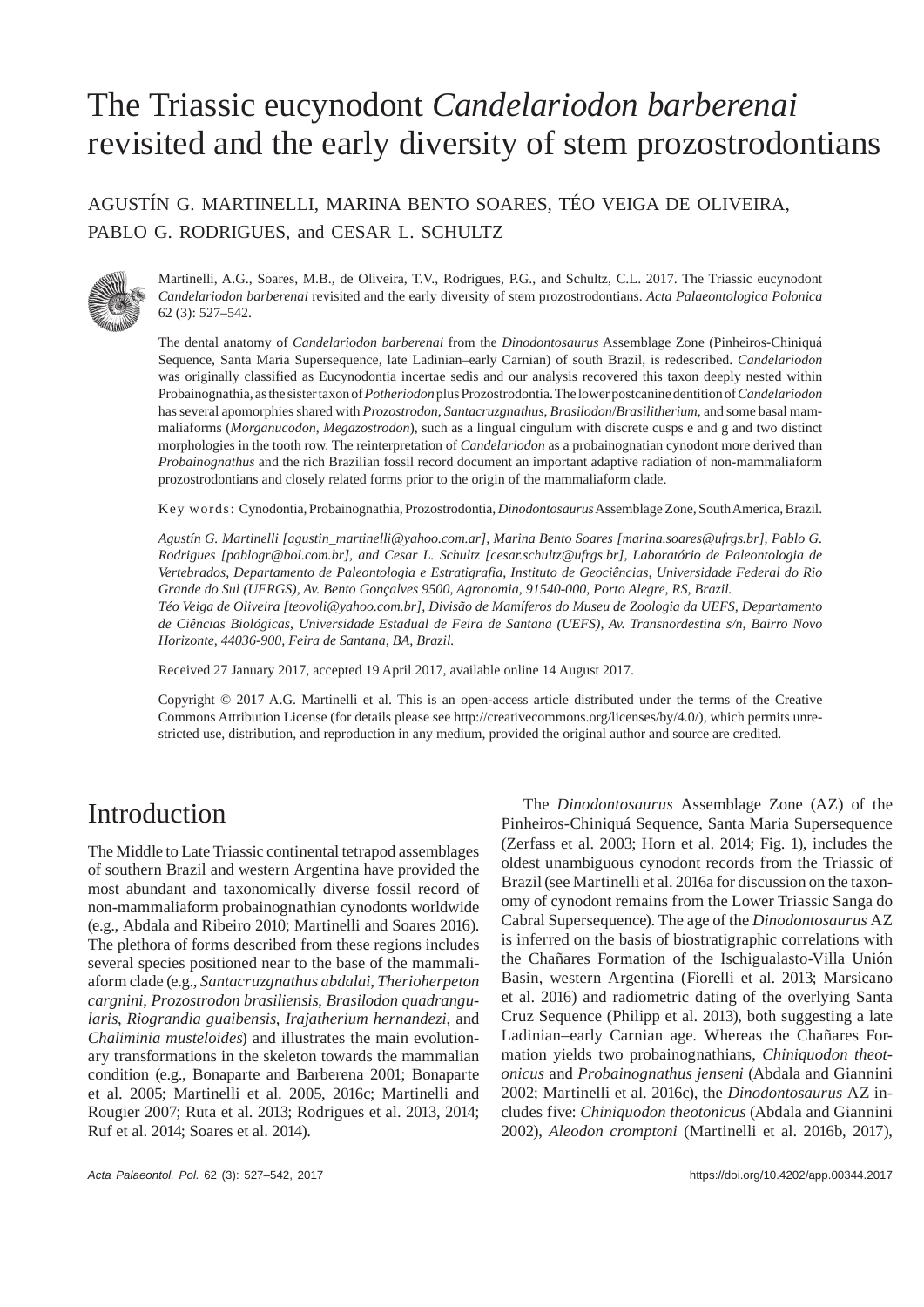# The Triassic eucynodont *Candelariodon barberenai* revisited and the early diversity of stem prozostrodontians

AGUSTÍN G. MARTINELLI, MARINA BENTO SOARES, TÉO VEIGA DE OLIVEIRA, PABLO G. RODRIGUES, and CESAR L. SCHULTZ



Martinelli, A.G., Soares, M.B., de Oliveira, T.V., Rodrigues, P.G., and Schultz, C.L. 2017. The Triassic eucynodont *Candelariodon barberenai* revisited and the early diversity of stem prozostrodontians. *Acta Palaeontologica Polonica* 62 (3): 527–542.

The dental anatomy of *Candelariodon barberenai* from the *Dino donto saurus* Assemblage Zone (Pinheiros-Chiniquá Sequence, Santa Maria Supersequence, late Ladinian–early Carnian) of south Brazil, is redescribed. *Candelariodon* was originally classified as Eucynodontia incertae sedis and our analysis recovered this taxon deeply nested within Probainognathia, as the sister taxon of *Potheriodon* plus Prozostrodontia. The lower postcanine dentition of *Candelariodon* has several apomorphies shared with *Prozostrodon*, *Santacruzgnathus*, *Brasilodon*/*Brasilitherium*, and some basal mammaliaforms (*Morganucodon*, *Megazostrodon*), such as a lingual cingulum with discrete cusps e and g and two distinct morphologies in the tooth row. The reinterpretation of *Candelariodon* as a probainognatian cynodont more derived than *Probainognathus* and the rich Brazilian fossil record document an important adaptive radiation of non-mammaliaform prozostrodontians and closely related forms prior to the origin of the mammaliaform clade.

Key words: Cynodontia, Probainognathia, Prozostrodontia, *Dinodontosaurus* Assemblage Zone, South America, Brazil.

*Agustín G. Martinelli [agustin\_martinelli@yahoo.com.ar], Marina Bento Soares [marina.soares@ufrgs.br], Pablo G. Rodrigues [pablogr@bol.com.br], and Cesar L. Schultz [cesar.schultz@ufrgs.br], Laboratório de Paleontologia de Vertebrados, Departamento de Paleontologia e Estratigrafia, Instituto de Geociências, Universidade Federal do Rio Grande do Sul (UFRGS), Av. Bento Gonçalves 9500, Agronomia, 91540-000, Porto Alegre, RS, Brazil.*

*Téo Veiga de Oliveira [teovoli@yahoo.com.br], Divisão de Mamíferos do Museu de Zoologia da UEFS, Departamento de Ciências Biológicas, Universidade Estadual de Feira de Santana (UEFS), Av. Transnordestina s/n, Bairro Novo Horizonte, 44036-900, Feira de Santana, BA, Brazil.*

Received 27 January 2017, accepted 19 April 2017, available online 14 August 2017.

Copyright © 2017 A.G. Martinelli et al. This is an open-access article distributed under the terms of the Creative Commons Attribution License (for details please see http://creativecommons.org/licenses/by/4.0/), which permits unrestricted use, distribution, and reproduction in any medium, provided the original author and source are credited.

# Introduction

The Middle to Late Triassic continental tetrapod assemblages of southern Brazil and western Argentina have provided the most abundant and taxonomically diverse fossil record of non-mammaliaform probainognathian cynodonts worldwide (e.g., Abdala and Ribeiro 2010; Martinelli and Soares 2016). The plethora of forms described from these regions includes several species positioned near to the base of the mammaliaform clade (e.g., *Santacruzgnathus abdalai*, *Therioherpeton cargnini*, *Prozostrodon brasiliensis*, *Brasilodon quadrangularis*, *Riograndia guaibensis*, *Irajatherium hernandezi*, and *Chaliminia musteloides*) and illustrates the main evolutionary transformations in the skeleton towards the mammalian condition (e.g., Bonaparte and Barberena 2001; Bonaparte et al. 2005; Martinelli et al. 2005, 2016c; Martinelli and Rougier 2007; Ruta et al. 2013; Rodrigues et al. 2013, 2014; Ruf et al. 2014; Soares et al. 2014).

The *Dinodontosaurus* Assemblage Zone (AZ) of the Pinheiros-Chiniquá Sequence, Santa Maria Supersequence (Zerfass et al. 2003; Horn et al. 2014; Fig. 1), includes the oldest unambiguous cynodont records from the Triassic of Brazil (see Martinelli et al. 2016a for discussion on the taxonomy of cynodont remains from the Lower Triassic Sanga do Cabral Supersequence). The age of the *Dinodontosaurus* AZ is inferred on the basis of biostratigraphic correlations with the Chañares Formation of the Ischigualasto-Villa Unión Basin, western Argentina (Fiorelli et al. 2013; Marsicano et al. 2016) and radiometric dating of the overlying Santa Cruz Sequence (Philipp et al. 2013), both suggesting a late Ladinian–early Carnian age. Whereas the Chañares Formation yields two probainognathians, *Chiniquodon theotonicus* and *Probainognathus jenseni* (Abdala and Giannini 2002; Martinelli et al. 2016c), the *Dinodontosaurus* AZ includes five: *Chiniquodon theotonicus* (Abdala and Giannini 2002), *Aleodon cromptoni* (Martinelli et al. 2016b, 2017),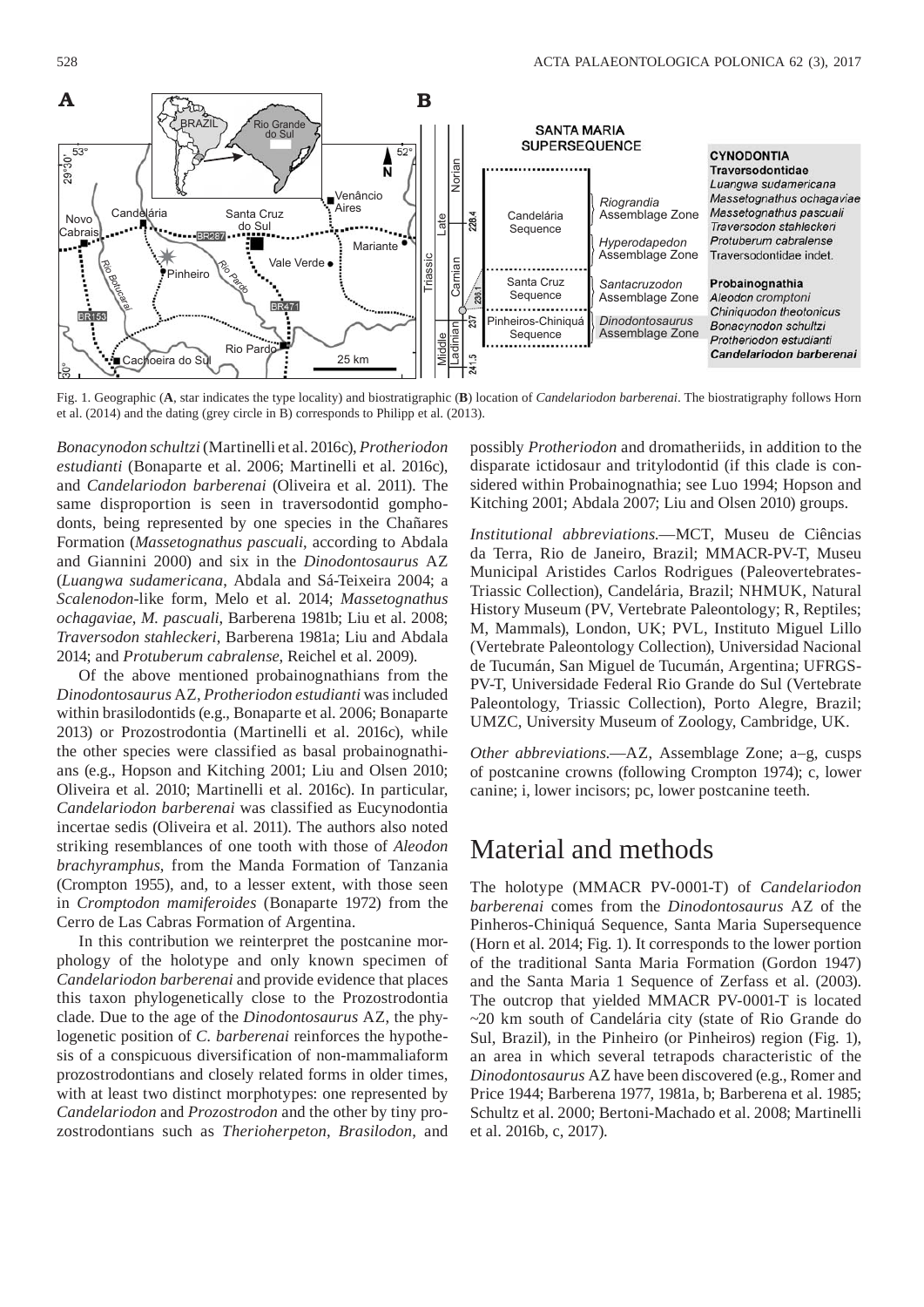

Fig. 1. Geographic (**A**, star indicates the type locality) and biostratigraphic (**B**) location of *Candelariodon barberenai*. The biostratigraphy follows Horn et al. (2014) and the dating (grey circle in B) corresponds to Philipp et al. (2013).

*Bonacynodon schultzi* (Martinelli et al. 2016c), *Protheriodon estudianti* (Bonaparte et al. 2006; Martinelli et al. 2016c), and *Candelariodon barberenai* (Oliveira et al. 2011). The same disproportion is seen in traversodontid gomphodonts, being represented by one species in the Chañares Formation (*Massetognathus pascuali*, according to Abdala and Giannini 2000) and six in the *Dinodontosaurus* AZ (*Luangwa sudamericana*, Abdala and Sá-Teixeira 2004; a *Scalenodon*-like form, Melo et al. 2014; *Massetognathus ochagaviae*, *M. pascuali*, Barberena 1981b; Liu et al. 2008; *Traversodon stahleckeri*, Barberena 1981a; Liu and Abdala 2014; and *Protuberum cabralense*, Reichel et al. 2009).

Of the above mentioned probainognathians from the *Dinodontosaurus* AZ, *Protheriodon estudianti* was included within brasilodontids (e.g., Bonaparte et al. 2006; Bonaparte 2013) or Prozostrodontia (Martinelli et al. 2016c), while the other species were classified as basal probainognathians (e.g., Hopson and Kitching 2001; Liu and Olsen 2010; Oliveira et al. 2010; Martinelli et al. 2016c). In particular, *Candelariodon barberenai* was classified as Eucynodontia incertae sedis (Oliveira et al. 2011). The authors also noted striking resemblances of one tooth with those of *Aleodon brachyramphus*, from the Manda Formation of Tanzania (Crompton 1955), and, to a lesser extent, with those seen in *Cromptodon mamiferoides* (Bonaparte 1972) from the Cerro de Las Cabras Formation of Argentina.

In this contribution we reinterpret the postcanine morphology of the holotype and only known specimen of *Candelariodon barberenai* and provide evidence that places this taxon phylogenetically close to the Prozostrodontia clade. Due to the age of the *Dinodontosaurus* AZ, the phylogenetic position of *C. barberenai* reinforces the hypothesis of a conspicuous diversification of non-mammaliaform prozostrodontians and closely related forms in older times, with at least two distinct morphotypes: one represented by *Candelariodon* and *Prozostrodon* and the other by tiny prozostrodontians such as *Therioherpeton*, *Brasilodon*, and

possibly *Protheriodon* and dromatheriids, in addition to the disparate ictidosaur and tritylodontid (if this clade is considered within Probainognathia; see Luo 1994; Hopson and Kitching 2001; Abdala 2007; Liu and Olsen 2010) groups.

*Institutional abbreviations*.—MCT, Museu de Ciências da Terra, Rio de Janeiro, Brazil; MMACR-PV-T, Museu Municipal Aristides Carlos Rodrigues (Paleovertebrates-Triassic Collection), Candelária, Brazil; NHMUK, Natural History Museum (PV, Vertebrate Paleontology; R, Reptiles; M, Mammals), London, UK; PVL, Instituto Miguel Lillo (Vertebrate Paleontology Collection), Universidad Nacional de Tucumán, San Miguel de Tucumán, Argentina; UFRGS-PV-T, Universidade Federal Rio Grande do Sul (Vertebrate Paleontology, Triassic Collection), Porto Alegre, Brazil; UMZC, University Museum of Zoology, Cambridge, UK.

*Other abbreviations*.—AZ, Assemblage Zone; a–g, cusps of postcanine crowns (following Crompton 1974); c, lower canine; i, lower incisors; pc, lower postcanine teeth.

### Material and methods

The holotype (MMACR PV-0001-T) of *Candelariodon barberenai* comes from the *Dinodontosaurus* AZ of the Pinheros-Chiniquá Sequence, Santa Maria Supersequence (Horn et al. 2014; Fig. 1). It corresponds to the lower portion of the traditional Santa Maria Formation (Gordon 1947) and the Santa Maria 1 Sequence of Zerfass et al. (2003). The outcrop that yielded MMACR PV-0001-T is located ~20 km south of Candelária city (state of Rio Grande do Sul, Brazil), in the Pinheiro (or Pinheiros) region (Fig. 1), an area in which several tetrapods characteristic of the *Dinodontosaurus* AZ have been discovered (e.g., Romer and Price 1944; Barberena 1977, 1981a, b; Barberena et al. 1985; Schultz et al. 2000; Bertoni-Machado et al. 2008; Martinelli et al. 2016b, c, 2017).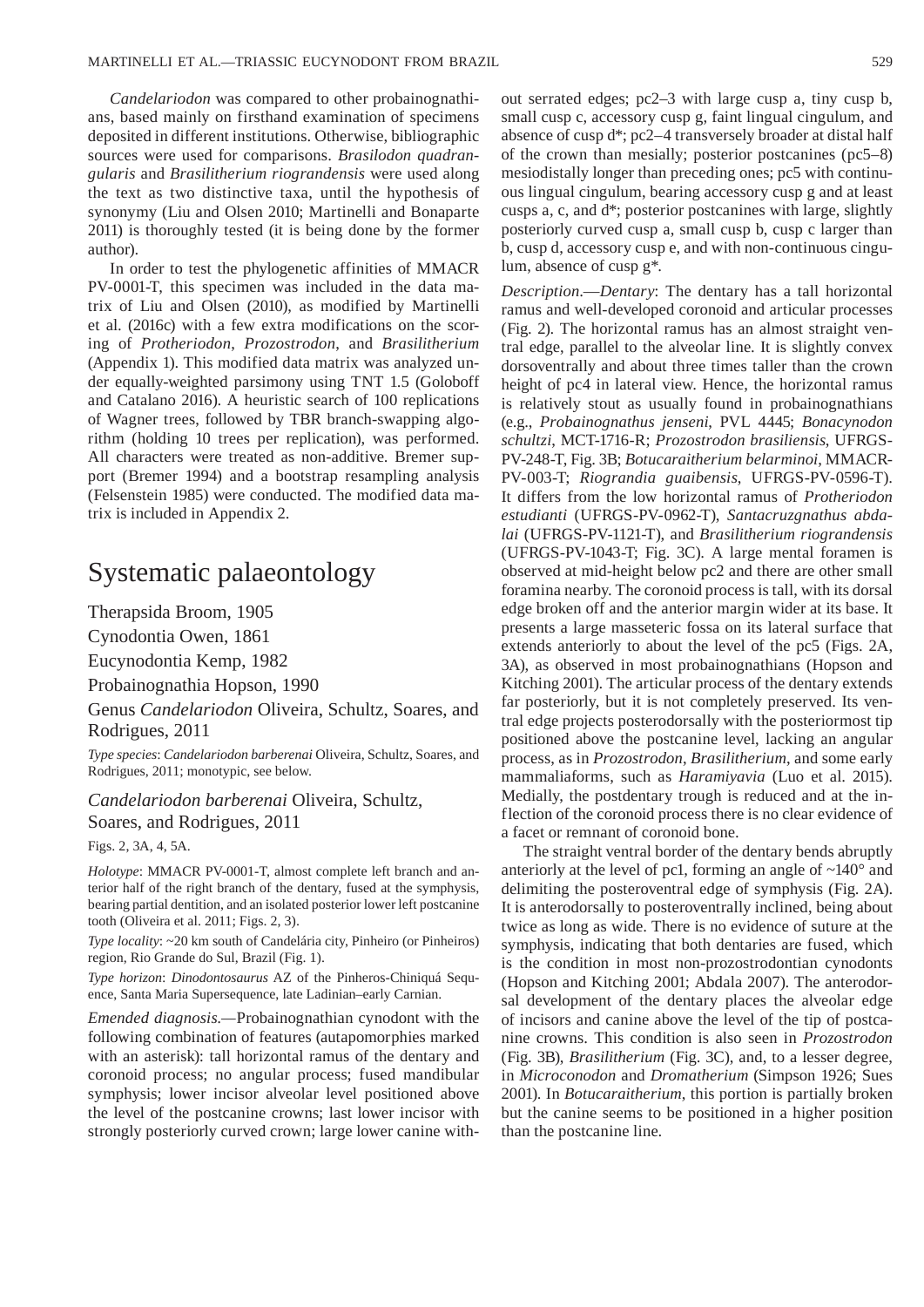*Candelariodon* was compared to other probainognathians, based mainly on firsthand examination of specimens deposited in different institutions. Otherwise, bibliographic sources were used for comparisons. *Brasilodon quadrangularis* and *Brasilitherium riograndensis* were used along the text as two distinctive taxa, until the hypothesis of synonymy (Liu and Olsen 2010; Martinelli and Bonaparte 2011) is thoroughly tested (it is being done by the former author).

In order to test the phylogenetic affinities of MMACR PV-0001-T, this specimen was included in the data matrix of Liu and Olsen (2010), as modified by Martinelli et al. (2016c) with a few extra modifications on the scoring of *Protheriodon*, *Prozostrodon*, and *Brasilitherium* (Appendix 1). This modified data matrix was analyzed under equally-weighted parsimony using TNT 1.5 (Goloboff and Catalano 2016). A heuristic search of 100 replications of Wagner trees, followed by TBR branch-swapping algorithm (holding 10 trees per replication), was performed. All characters were treated as non-additive. Bremer support (Bremer 1994) and a bootstrap resampling analysis (Felsenstein 1985) were conducted. The modified data matrix is included in Appendix 2.

## Systematic palaeontology

Therapsida Broom, 1905

Cynodontia Owen, 1861

Eucynodontia Kemp, 1982

Probainognathia Hopson, 1990

Genus *Candelariodon* Oliveira, Schultz, Soares, and Rodrigues, 2011

*Type species*: *Candelariodon barberenai* Oliveira, Schultz, Soares, and Rodrigues, 2011; monotypic, see below.

*Candelariodon barberenai* Oliveira, Schultz, Soares, and Rodrigues, 2011

Figs. 2, 3A, 4, 5A.

*Holotype*: MMACR PV-0001-T, almost complete left branch and anterior half of the right branch of the dentary, fused at the symphysis, bearing partial dentition, and an isolated posterior lower left postcanine tooth (Oliveira et al. 2011; Figs. 2, 3).

*Type locality*: ~20 km south of Candelária city, Pinheiro (or Pinheiros) region, Rio Grande do Sul, Brazil (Fig. 1).

*Type horizon*: *Dinodontosaurus* AZ of the Pinheros-Chiniquá Sequence, Santa Maria Supersequence, late Ladinian–early Carnian.

*Emended diagnosis.—*Probainognathian cynodont with the following combination of features (autapomorphies marked with an asterisk): tall horizontal ramus of the dentary and coronoid process; no angular process; fused mandibular symphysis; lower incisor alveolar level positioned above the level of the postcanine crowns; last lower incisor with strongly posteriorly curved crown; large lower canine without serrated edges; pc2–3 with large cusp a, tiny cusp b, small cusp c, accessory cusp g, faint lingual cingulum, and absence of cusp d\*; pc2–4 transversely broader at distal half of the crown than mesially; posterior postcanines (pc5–8) mesiodistally longer than preceding ones; pc5 with continuous lingual cingulum, bearing accessory cusp g and at least cusps a, c, and d\*; posterior postcanines with large, slightly posteriorly curved cusp a, small cusp b, cusp c larger than b, cusp d, accessory cusp e, and with non-continuous cingulum, absence of cusp g\*.

*Description*.—*Dentary*: The dentary has a tall horizontal ramus and well-developed coronoid and articular processes (Fig. 2). The horizontal ramus has an almost straight ventral edge, parallel to the alveolar line. It is slightly convex dorsoventrally and about three times taller than the crown height of pc4 in lateral view. Hence, the horizontal ramus is relatively stout as usually found in probainognathians (e.g., *Probainognathus jenseni*, PVL 4445; *Bonacynodon schultzi*, MCT-1716-R; *Prozostrodon brasiliensis*, UFRGS-PV-248-T, Fig. 3B; *Botucaraitherium belarminoi*, MMACR-PV-003-T; *Riograndia guaibensis*, UFRGS-PV-0596-T). It differs from the low horizontal ramus of *Protheriodon estudianti* (UFRGS-PV-0962-T), *Santacruzgnathus abdalai* (UFRGS-PV-1121-T), and *Brasilitherium riograndensis*  (UFRGS-PV-1043-T; Fig. 3C). A large mental foramen is observed at mid-height below pc2 and there are other small foramina nearby. The coronoid process is tall, with its dorsal edge broken off and the anterior margin wider at its base. It presents a large masseteric fossa on its lateral surface that extends anteriorly to about the level of the pc5 (Figs. 2A, 3A), as observed in most probainognathians (Hopson and Kitching 2001). The articular process of the dentary extends far posteriorly, but it is not completely preserved. Its ventral edge projects posterodorsally with the posteriormost tip positioned above the postcanine level, lacking an angular process, as in *Prozostrodon*, *Brasilitherium*, and some early mammaliaforms, such as *Haramiyavia* (Luo et al. 2015). Medially, the postdentary trough is reduced and at the inflection of the coronoid process there is no clear evidence of a facet or remnant of coronoid bone.

The straight ventral border of the dentary bends abruptly anteriorly at the level of pc1, forming an angle of ~140° and delimiting the posteroventral edge of symphysis (Fig. 2A). It is anterodorsally to posteroventrally inclined, being about twice as long as wide. There is no evidence of suture at the symphysis, indicating that both dentaries are fused, which is the condition in most non-prozostrodontian cynodonts (Hopson and Kitching 2001; Abdala 2007). The anterodorsal development of the dentary places the alveolar edge of incisors and canine above the level of the tip of postcanine crowns. This condition is also seen in *Prozostrodon* (Fig. 3B), *Brasilitherium* (Fig. 3C), and, to a lesser degree, in *Microconodon* and *Dromatherium* (Simpson 1926; Sues 2001). In *Botucaraitherium*, this portion is partially broken but the canine seems to be positioned in a higher position than the postcanine line.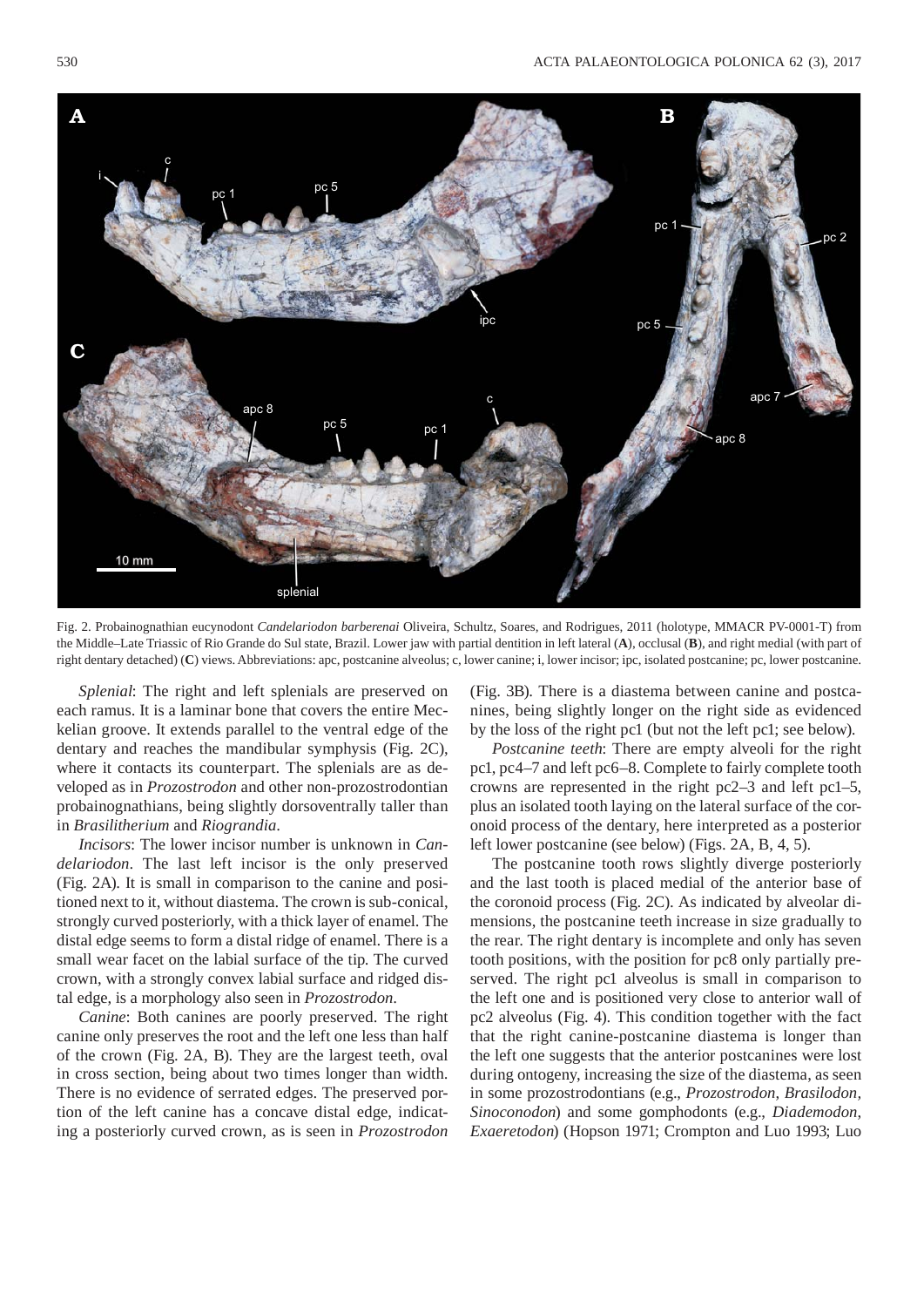

Fig. 2. Probainognathian eucynodont *Candelariodon barberenai* Oliveira, Schultz, Soares, and Rodrigues, 2011 (holotype, MMACR PV-0001-T) from the Middle–Late Triassic of Rio Grande do Sul state, Brazil. Lower jaw with partial dentition in left lateral (**A**), occlusal (**B**), and right medial (with part of right dentary detached) (**C**) views. Abbreviations: apc, postcanine alveolus; c, lower canine; i, lower incisor; ipc, isolated postcanine; pc, lower postcanine.

*Splenial*: The right and left splenials are preserved on each ramus. It is a laminar bone that covers the entire Meckelian groove. It extends parallel to the ventral edge of the dentary and reaches the mandibular symphysis (Fig. 2C), where it contacts its counterpart. The splenials are as developed as in *Prozostrodon* and other non-prozostrodontian probainognathians, being slightly dorsoventrally taller than in *Brasilitherium* and *Riograndia*.

*Incisors*: The lower incisor number is unknown in *Candelariodon*. The last left incisor is the only preserved (Fig. 2A). It is small in comparison to the canine and positioned next to it, without diastema. The crown is sub-conical, strongly curved posteriorly, with a thick layer of enamel. The distal edge seems to form a distal ridge of enamel. There is a small wear facet on the labial surface of the tip. The curved crown, with a strongly convex labial surface and ridged distal edge, is a morphology also seen in *Prozostrodon*.

*Canine*: Both canines are poorly preserved. The right canine only preserves the root and the left one less than half of the crown (Fig. 2A, B). They are the largest teeth, oval in cross section, being about two times longer than width. There is no evidence of serrated edges. The preserved portion of the left canine has a concave distal edge, indicating a posteriorly curved crown, as is seen in *Prozostrodon*

(Fig. 3B). There is a diastema between canine and postcanines, being slightly longer on the right side as evidenced by the loss of the right pc1 (but not the left pc1; see below).

*Postcanine teeth*: There are empty alveoli for the right pc1, pc4–7 and left pc6–8. Complete to fairly complete tooth crowns are represented in the right pc2–3 and left pc1–5, plus an isolated tooth laying on the lateral surface of the coronoid process of the dentary, here interpreted as a posterior left lower postcanine (see below) (Figs. 2A, B, 4, 5).

The postcanine tooth rows slightly diverge posteriorly and the last tooth is placed medial of the anterior base of the coronoid process (Fig. 2C). As indicated by alveolar dimensions, the postcanine teeth increase in size gradually to the rear. The right dentary is incomplete and only has seven tooth positions, with the position for pc8 only partially preserved. The right pc1 alveolus is small in comparison to the left one and is positioned very close to anterior wall of pc2 alveolus (Fig. 4). This condition together with the fact that the right canine-postcanine diastema is longer than the left one suggests that the anterior postcanines were lost during ontogeny, increasing the size of the diastema, as seen in some prozostrodontians (e.g., *Prozostrodon*, *Brasilodon, Sinoconodon*) and some gomphodonts (e.g., *Diademodon*, *Exaeretodon*) (Hopson 1971; Crompton and Luo 1993; Luo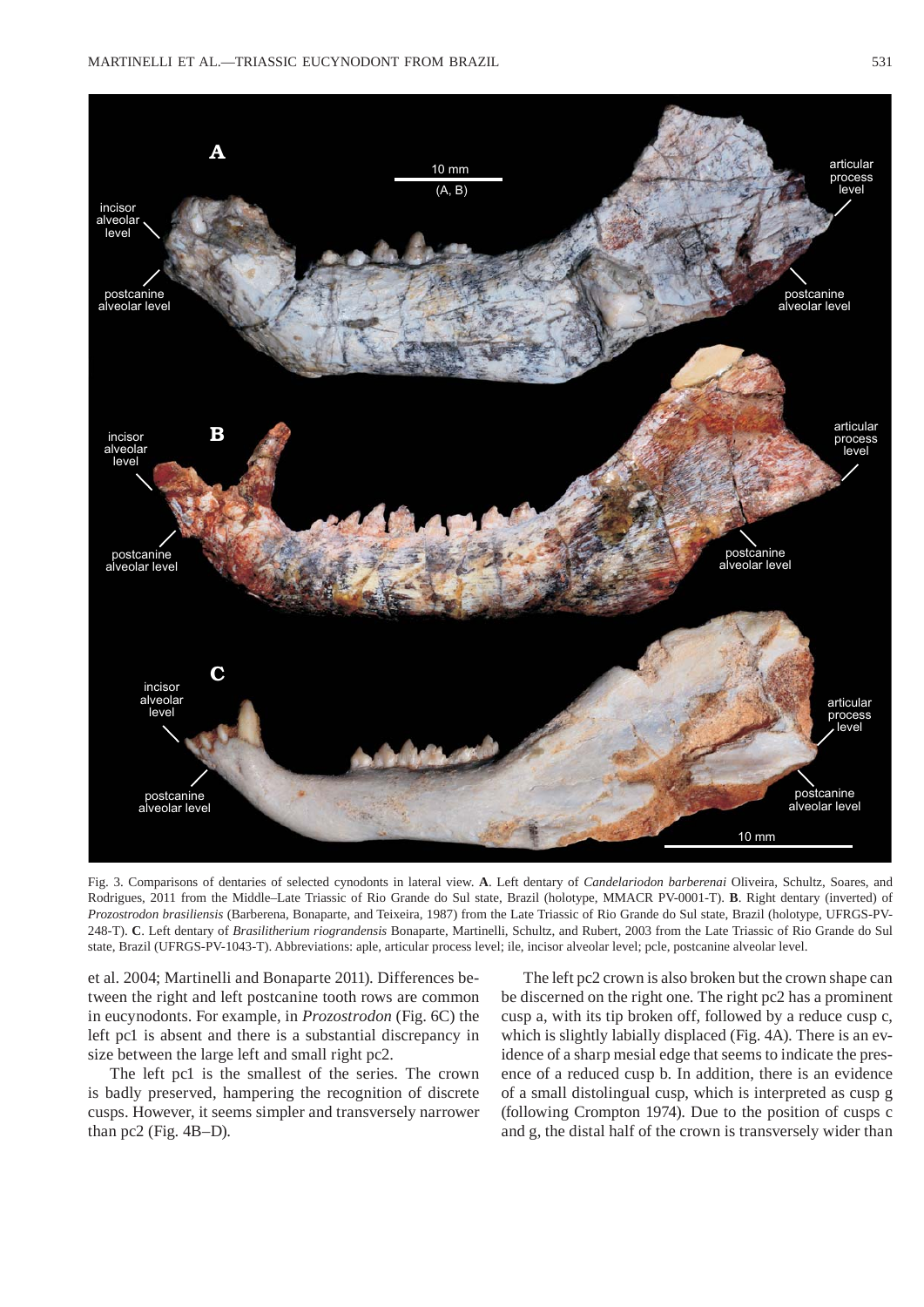

Fig. 3. Comparisons of dentaries of selected cynodonts in lateral view. **A**. Left dentary of *Candelariodon barberenai* Oliveira, Schultz, Soares, and Rodrigues, 2011 from the Middle–Late Triassic of Rio Grande do Sul state, Brazil (holotype, MMACR PV-0001-T). **B**. Right dentary (inverted) of *Prozostrodon brasiliensis* (Barberena, Bonaparte, and Teixeira, 1987) from the Late Triassic of Rio Grande do Sul state, Brazil (holotype, UFRGS-PV-248-T). **C**. Left dentary of *Brasilitherium riograndensis* Bonaparte, Martinelli, Schultz, and Rubert, 2003 from the Late Triassic of Rio Grande do Sul state, Brazil (UFRGS-PV-1043-T). Abbreviations: aple, articular process level; ile, incisor alveolar level; pcle, postcanine alveolar level.

et al. 2004; Martinelli and Bonaparte 2011). Differences between the right and left postcanine tooth rows are common in eucynodonts. For example, in *Prozostrodon* (Fig. 6C) the left pc1 is absent and there is a substantial discrepancy in size between the large left and small right pc2.

The left pc1 is the smallest of the series. The crown is badly preserved, hampering the recognition of discrete cusps. However, it seems simpler and transversely narrower than pc2 (Fig. 4B–D).

The left pc2 crown is also broken but the crown shape can be discerned on the right one. The right pc2 has a prominent cusp a, with its tip broken off, followed by a reduce cusp c, which is slightly labially displaced (Fig. 4A). There is an evidence of a sharp mesial edge that seems to indicate the presence of a reduced cusp b. In addition, there is an evidence of a small distolingual cusp, which is interpreted as cusp g (following Crompton 1974). Due to the position of cusps c and g, the distal half of the crown is transversely wider than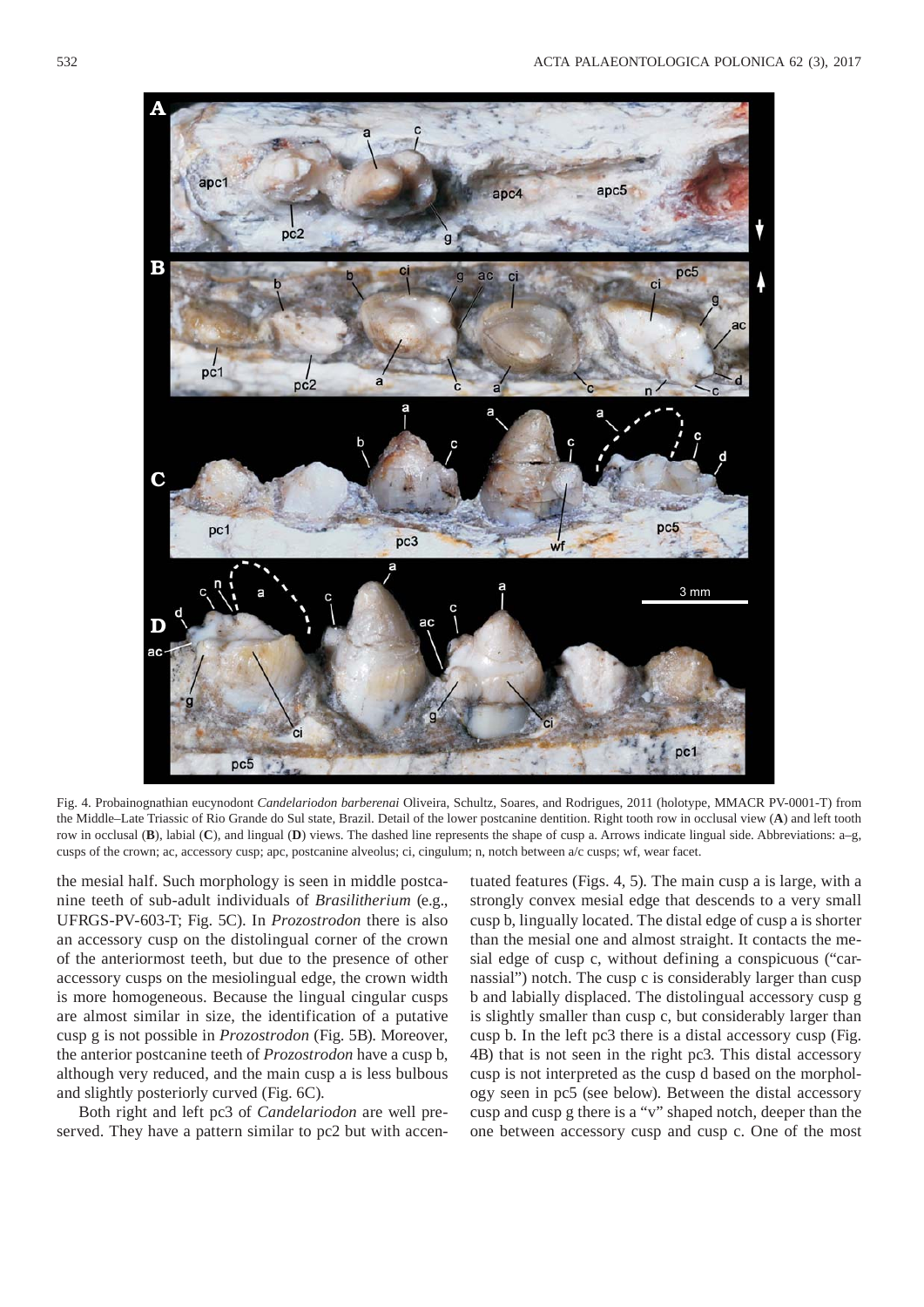

Fig. 4. Probainognathian eucynodont *Candelariodon barberenai* Oliveira, Schultz, Soares, and Rodrigues, 2011 (holotype, MMACR PV-0001-T) from the Middle–Late Triassic of Rio Grande do Sul state, Brazil. Detail of the lower postcanine dentition. Right tooth row in occlusal view (**A**) and left tooth row in occlusal (**B**), labial (**C**), and lingual (**D**) views. The dashed line represents the shape of cusp a. Arrows indicate lingual side. Abbreviations: a–g, cusps of the crown; ac, accessory cusp; apc, postcanine alveolus; ci, cingulum; n, notch between a/c cusps; wf, wear facet.

the mesial half. Such morphology is seen in middle postcanine teeth of sub-adult individuals of *Brasilitherium* (e.g., UFRGS-PV-603-T; Fig. 5C). In *Prozostrodon* there is also an accessory cusp on the distolingual corner of the crown of the anteriormost teeth, but due to the presence of other accessory cusps on the mesiolingual edge, the crown width is more homogeneous. Because the lingual cingular cusps are almost similar in size, the identification of a putative cusp g is not possible in *Prozostrodon* (Fig. 5B). Moreover, the anterior postcanine teeth of *Prozostrodon* have a cusp b, although very reduced, and the main cusp a is less bulbous and slightly posteriorly curved (Fig. 6C).

Both right and left pc3 of *Candelariodon* are well preserved. They have a pattern similar to pc2 but with accen-

tuated features (Figs. 4, 5). The main cusp a is large, with a strongly convex mesial edge that descends to a very small cusp b, lingually located. The distal edge of cusp a is shorter than the mesial one and almost straight. It contacts the mesial edge of cusp c, without defining a conspicuous ("carnassial") notch. The cusp c is considerably larger than cusp b and labially displaced. The distolingual accessory cusp g is slightly smaller than cusp c, but considerably larger than cusp b. In the left pc3 there is a distal accessory cusp (Fig. 4B) that is not seen in the right pc3. This distal accessory cusp is not interpreted as the cusp d based on the morphology seen in pc5 (see below). Between the distal accessory cusp and cusp g there is a "v" shaped notch, deeper than the one between accessory cusp and cusp c. One of the most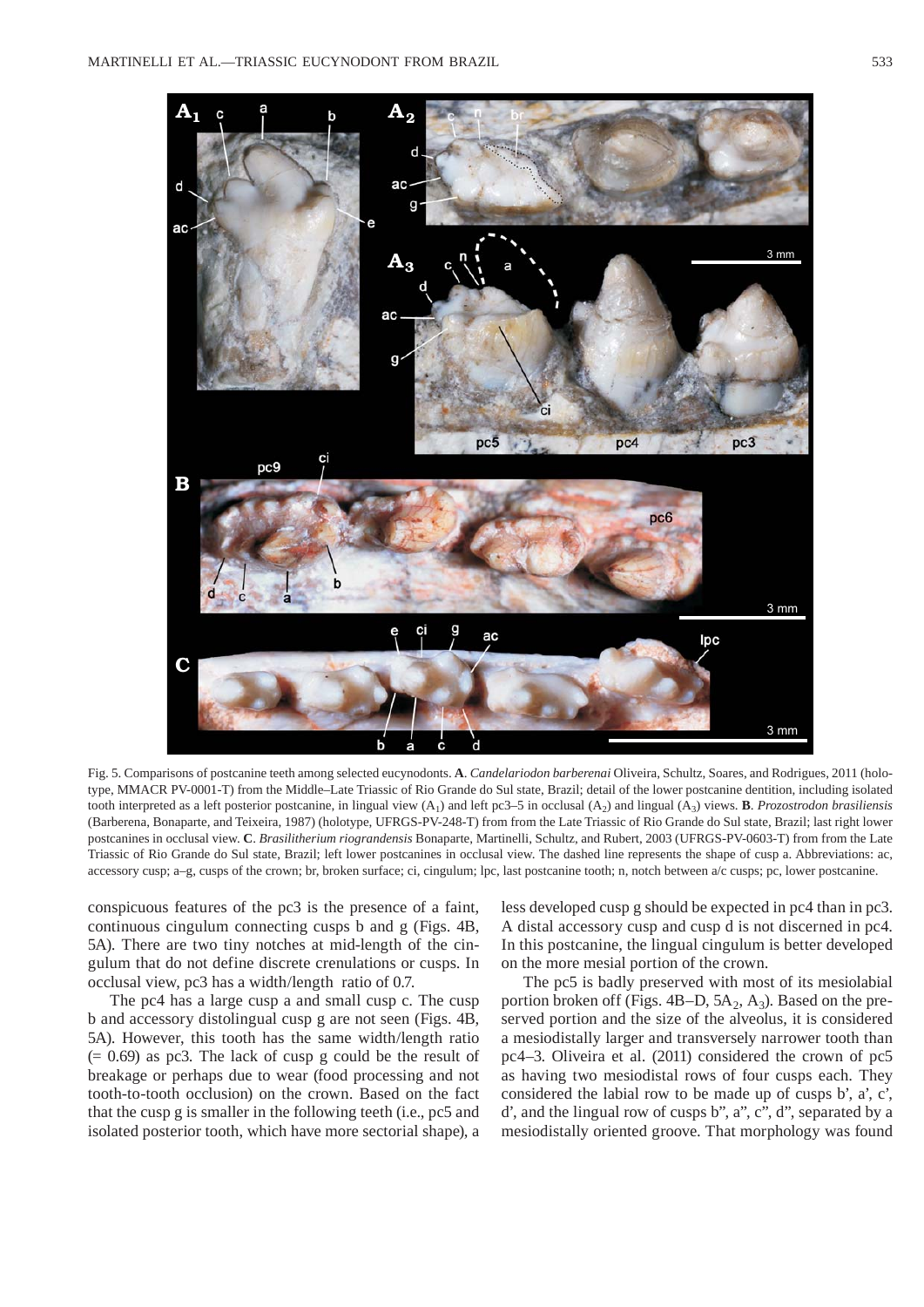

Fig. 5. Comparisons of postcanine teeth among selected eucynodonts. A. *Candelariodon barberenai* Oliveira, Schultz, Soares, and Rodrigues, 2011 (holotype, MMACR PV-0001-T) from the Middle–Late Triassic of Rio Grande do Sul state, Brazil; detail of the lower postcanine dentition, including isolated tooth interpreted as a left posterior postcanine, in lingual view  $(A_1)$  and left pc3–5 in occlusal  $(A_2)$  and lingual  $(A_3)$  views. **B**. *Prozostrodon brasiliensis* (Barberena, Bonaparte, and Teixeira, 1987) (holotype, UFRGS-PV-248-T) from from the Late Triassic of Rio Grande do Sul state, Brazil; last right lower postcanines in occlusal view. **C**. *Brasilitherium riograndensis* Bonaparte, Martinelli, Schultz, and Rubert, 2003 (UFRGS-PV-0603-T) from from the Late Triassic of Rio Grande do Sul state, Brazil; left lower postcanines in occlusal view. The dashed line represents the shape of cusp a. Abbreviations: ac, accessory cusp; a–g, cusps of the crown; br, broken surface; ci, cingulum; lpc, last postcanine tooth; n, notch between a/c cusps; pc, lower postcanine.

conspicuous features of the pc3 is the presence of a faint, continuous cingulum connecting cusps b and g (Figs. 4B, 5A). There are two tiny notches at mid-length of the cingulum that do not define discrete crenulations or cusps. In occlusal view, pc3 has a width/length ratio of 0.7.

The pc4 has a large cusp a and small cusp c. The cusp b and accessory distolingual cusp g are not seen (Figs. 4B, 5A). However, this tooth has the same width/length ratio  $(= 0.69)$  as pc3. The lack of cusp g could be the result of breakage or perhaps due to wear (food processing and not tooth-to-tooth occlusion) on the crown. Based on the fact that the cusp g is smaller in the following teeth (i.e., pc5 and isolated posterior tooth, which have more sectorial shape), a less developed cusp g should be expected in pc4 than in pc3. A distal accessory cusp and cusp d is not discerned in pc4. In this postcanine, the lingual cingulum is better developed on the more mesial portion of the crown.

The pc5 is badly preserved with most of its mesiolabial portion broken off (Figs.  $4B-D$ ,  $5A_2$ ,  $A_3$ ). Based on the preserved portion and the size of the alveolus, it is considered a mesiodistally larger and transversely narrower tooth than pc4–3. Oliveira et al. (2011) considered the crown of pc5 as having two mesiodistal rows of four cusps each. They considered the labial row to be made up of cusps b', a', c', d', and the lingual row of cusps b", a", c", d", separated by a mesiodistally oriented groove. That morphology was found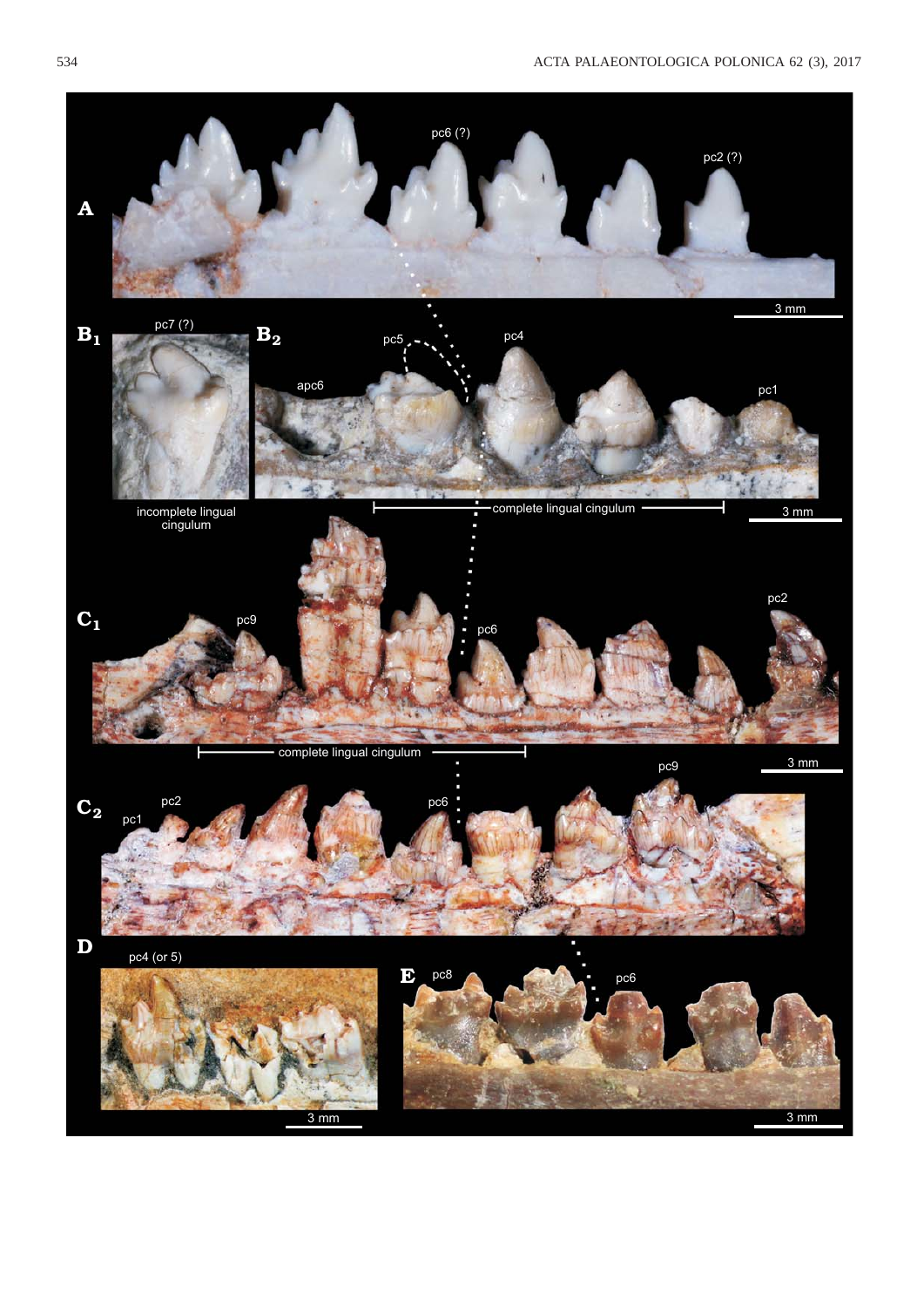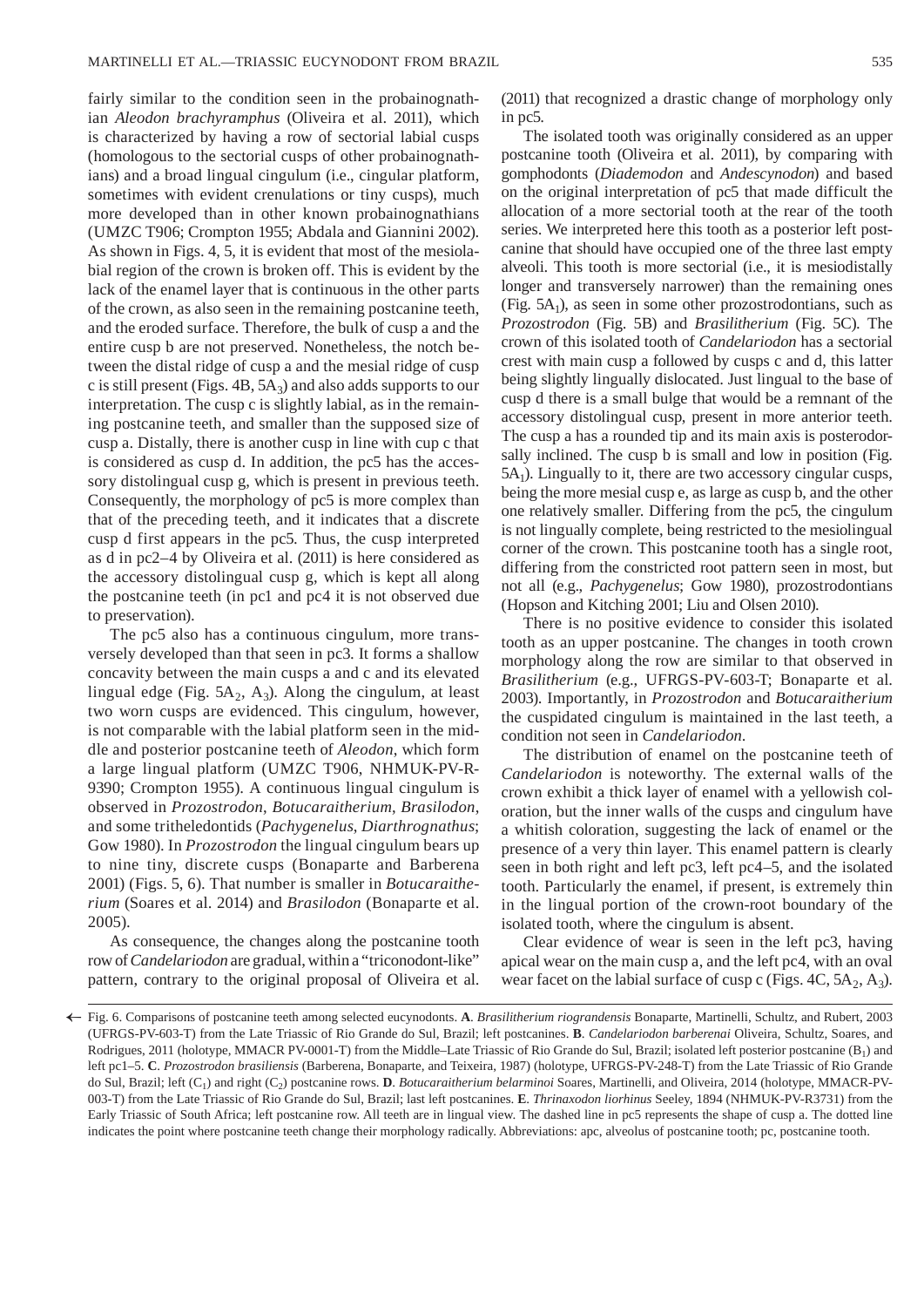fairly similar to the condition seen in the probainognathian *Aleodon brachyramphus* (Oliveira et al. 2011), which is characterized by having a row of sectorial labial cusps (homologous to the sectorial cusps of other probainognathians) and a broad lingual cingulum (i.e., cingular platform, sometimes with evident crenulations or tiny cusps), much more developed than in other known probainognathians (UMZC T906; Crompton 1955; Abdala and Giannini 2002). As shown in Figs. 4, 5, it is evident that most of the mesiolabial region of the crown is broken off. This is evident by the lack of the enamel layer that is continuous in the other parts of the crown, as also seen in the remaining postcanine teeth, and the eroded surface. Therefore, the bulk of cusp a and the entire cusp b are not preserved. Nonetheless, the notch between the distal ridge of cusp a and the mesial ridge of cusp c is still present (Figs.  $4B$ ,  $5A_3$ ) and also adds supports to our interpretation. The cusp c is slightly labial, as in the remaining postcanine teeth, and smaller than the supposed size of cusp a. Distally, there is another cusp in line with cup c that is considered as cusp d. In addition, the pc5 has the accessory distolingual cusp g, which is present in previous teeth. Consequently, the morphology of pc5 is more complex than that of the preceding teeth, and it indicates that a discrete cusp d first appears in the pc5. Thus, the cusp interpreted as d in pc2–4 by Oliveira et al. (2011) is here considered as the accessory distolingual cusp g, which is kept all along the postcanine teeth (in pc1 and pc4 it is not observed due to preservation).

The pc5 also has a continuous cingulum, more transversely developed than that seen in pc3. It forms a shallow concavity between the main cusps a and c and its elevated lingual edge (Fig. 5A $_2$ , A<sub>3</sub>). Along the cingulum, at least two worn cusps are evidenced. This cingulum, however, is not comparable with the labial platform seen in the middle and posterior postcanine teeth of *Aleodon*, which form a large lingual platform (UMZC T906, NHMUK-PV-R-9390; Crompton 1955). A continuous lingual cingulum is observed in *Prozostrodon*, *Botucaraitherium*, *Bra si lo don*, and some tritheledontids (*Pachygenelus*, *Diarthrognathus*; Gow 1980). In *Prozostrodon* the lingual cingulum bears up to nine tiny, discrete cusps (Bonaparte and Barberena 2001) (Figs. 5, 6). That number is smaller in *Botucaraitherium* (Soares et al. 2014) and *Brasilodon* (Bonaparte et al. 2005).

As consequence, the changes along the postcanine tooth row of *Candelariodon* are gradual, within a "triconodont-like" pattern, contrary to the original proposal of Oliveira et al. (2011) that recognized a drastic change of morphology only in pc5.

The isolated tooth was originally considered as an upper postcanine tooth (Oliveira et al. 2011), by comparing with gomphodonts (*Diademodon* and *Andescynodon*) and based on the original interpretation of pc5 that made difficult the allocation of a more sectorial tooth at the rear of the tooth series. We interpreted here this tooth as a posterior left postcanine that should have occupied one of the three last empty alveoli. This tooth is more sectorial (i.e., it is mesiodistally longer and transversely narrower) than the remaining ones (Fig.  $5A_1$ ), as seen in some other prozostrodontians, such as *Prozostrodon* (Fig. 5B) and *Brasilitherium* (Fig. 5C). The crown of this isolated tooth of *Candelariodon* has a sectorial crest with main cusp a followed by cusps c and d, this latter being slightly lingually dislocated. Just lingual to the base of cusp d there is a small bulge that would be a remnant of the accessory distolingual cusp, present in more anterior teeth. The cusp a has a rounded tip and its main axis is posterodorsally inclined. The cusp b is small and low in position (Fig.  $5A<sub>1</sub>$ ). Lingually to it, there are two accessory cingular cusps, being the more mesial cusp e, as large as cusp b, and the other one relatively smaller. Differing from the pc5, the cingulum is not lingually complete, being restricted to the mesiolingual corner of the crown. This postcanine tooth has a single root, differing from the constricted root pattern seen in most, but not all (e.g., *Pachygenelus*; Gow 1980), prozostrodontians (Hopson and Kitching 2001; Liu and Olsen 2010).

There is no positive evidence to consider this isolated tooth as an upper postcanine. The changes in tooth crown morphology along the row are similar to that observed in *Brasilitherium* (e.g., UFRGS-PV-603-T; Bonaparte et al. 2003). Importantly, in *Prozostrodon* and *Botucaraitherium* the cuspidated cingulum is maintained in the last teeth, a condition not seen in *Candelariodon*.

The distribution of enamel on the postcanine teeth of *Candelariodon* is noteworthy. The external walls of the crown exhibit a thick layer of enamel with a yellowish coloration, but the inner walls of the cusps and cingulum have a whitish coloration, suggesting the lack of enamel or the presence of a very thin layer. This enamel pattern is clearly seen in both right and left pc3, left pc4–5, and the isolated tooth. Particularly the enamel, if present, is extremely thin in the lingual portion of the crown-root boundary of the isolated tooth, where the cingulum is absent.

Clear evidence of wear is seen in the left pc3, having apical wear on the main cusp a, and the left pc4, with an oval wear facet on the labial surface of cusp c (Figs. 4C,  $5A_2$ , A<sub>3</sub>).

Fig. 6. Comparisons of postcanine teeth among selected eucynodonts. **A**. *Brasilitherium riograndensis* Bonaparte, Martinelli, Schultz, and Rubert, 2003 →(UFRGS-PV-603-T) from the Late Triassic of Rio Grande do Sul, Brazil; left postcanines. **B**. *Candelariodon barberenai* Oliveira, Schultz, Soares, and Rodrigues, 2011 (holotype, MMACR PV-0001-T) from the Middle–Late Triassic of Rio Grande do Sul, Brazil; isolated left posterior postcanine (B<sub>1</sub>) and left pc1–5. **C**. *Prozostrodon brasiliensis* (Barberena, Bonaparte, and Teixeira, 1987) (holotype, UFRGS-PV-248-T) from the Late Triassic of Rio Grande do Sul, Brazil; left (C1) and right (C2) postcanine rows. **D**. *Botucaraitherium belarminoi* Soares, Martinelli, and Oliveira, 2014 (holotype, MMACR-PV-003-T) from the Late Triassic of Rio Grande do Sul, Brazil; last left postcanines. **E**. *Thrinaxodon liorhinus* Seeley, 1894 (NHMUK-PV-R3731) from the Early Triassic of South Africa; left postcanine row. All teeth are in lingual view. The dashed line in pc5 represents the shape of cusp a. The dotted line indicates the point where postcanine teeth change their morphology radically. Abbreviations: apc, alveolus of postcanine tooth; pc, postcanine tooth.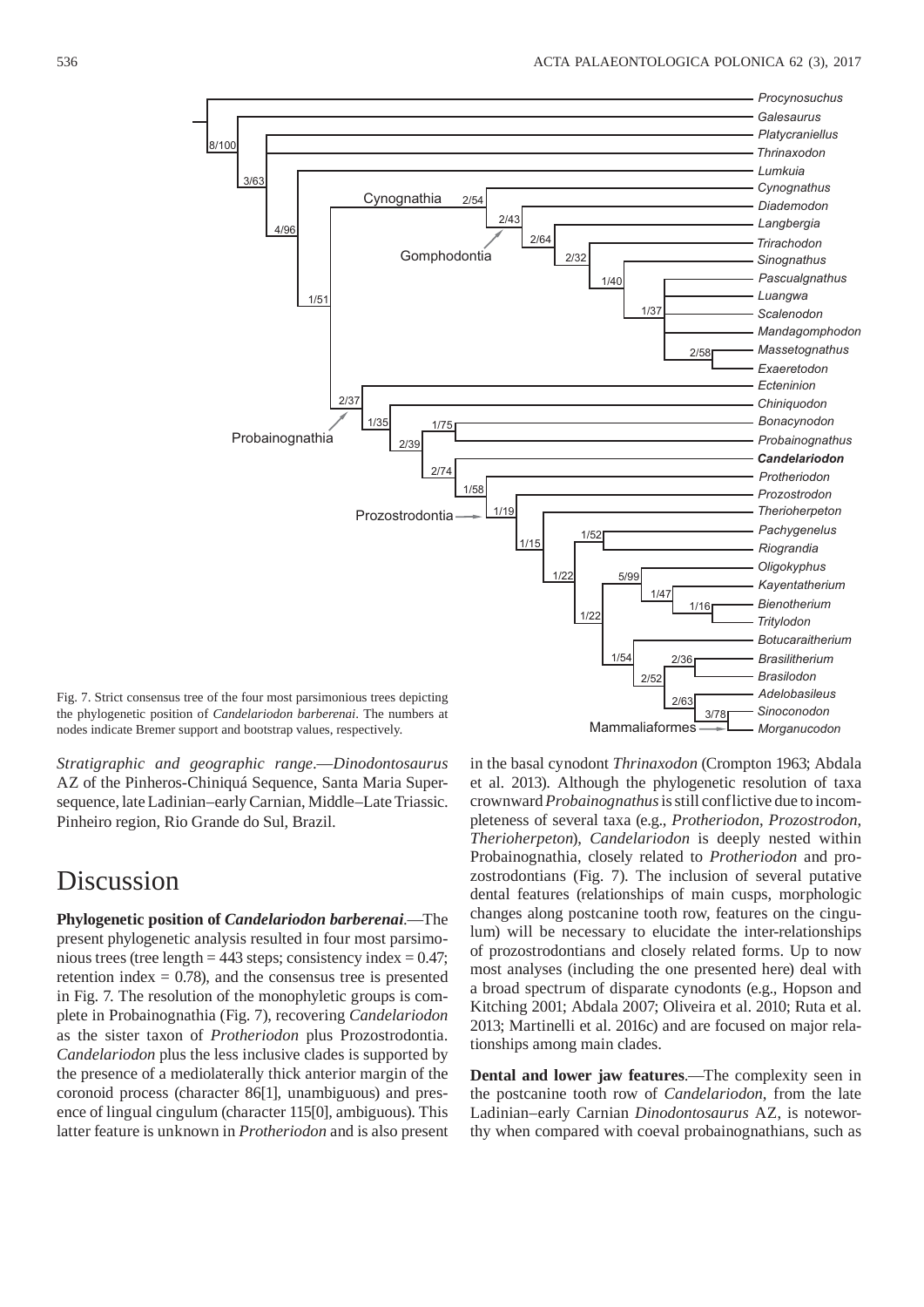

Fig. 7. Strict consensus tree of the four most parsimonious trees depicting the phylogenetic position of *Candelariodon barberenai*. The numbers at nodes indicate Bremer support and bootstrap values, respectively.

*Stratigraphic and geographic range*.—*Dinodontosaurus* AZ of the Pinheros-Chiniquá Sequence, Santa Maria Supersequence, late Ladinian–early Carnian, Middle–Late Triassic. Pinheiro region, Rio Grande do Sul, Brazil.

### Discussion

**Phylogenetic position of** *Candelariodon barberenai*.—The present phylogenetic analysis resulted in four most parsimonious trees (tree length =  $443$  steps; consistency index =  $0.47$ ; retention index  $= 0.78$ , and the consensus tree is presented in Fig. 7. The resolution of the monophyletic groups is complete in Probainognathia (Fig. 7), recovering *Candelariodon* as the sister taxon of *Protheriodon* plus Prozostrodontia. *Candelariodon* plus the less inclusive clades is supported by the presence of a mediolaterally thick anterior margin of the coronoid process (character 86[1], unambiguous) and presence of lingual cingulum (character 115[0], ambiguous). This latter feature is unknown in *Protheriodon* and is also present in the basal cynodont *Thrinaxodon* (Crompton 1963; Abdala et al. 2013). Although the phylogenetic resolution of taxa crownward *Probainognathus* is still conflictive due to incompleteness of several taxa (e.g., *Protheriodon*, *Prozostrodon*, *Therio herpeton*), *Candelariodon* is deeply nested within Probainognathia, closely related to *Protheriodon* and prozostrodontians (Fig. 7). The inclusion of several putative dental features (relationships of main cusps, morphologic changes along postcanine tooth row, features on the cingulum) will be necessary to elucidate the inter-relationships of prozostrodontians and closely related forms. Up to now most analyses (including the one presented here) deal with a broad spectrum of disparate cynodonts (e.g., Hopson and Kitching 2001; Abdala 2007; Oliveira et al. 2010; Ruta et al. 2013; Martinelli et al. 2016c) and are focused on major relationships among main clades.

**Dental and lower jaw features**.—The complexity seen in the postcanine tooth row of *Candelariodon*, from the late Ladinian–early Carnian *Dinodontosaurus* AZ, is noteworthy when compared with coeval probainognathians, such as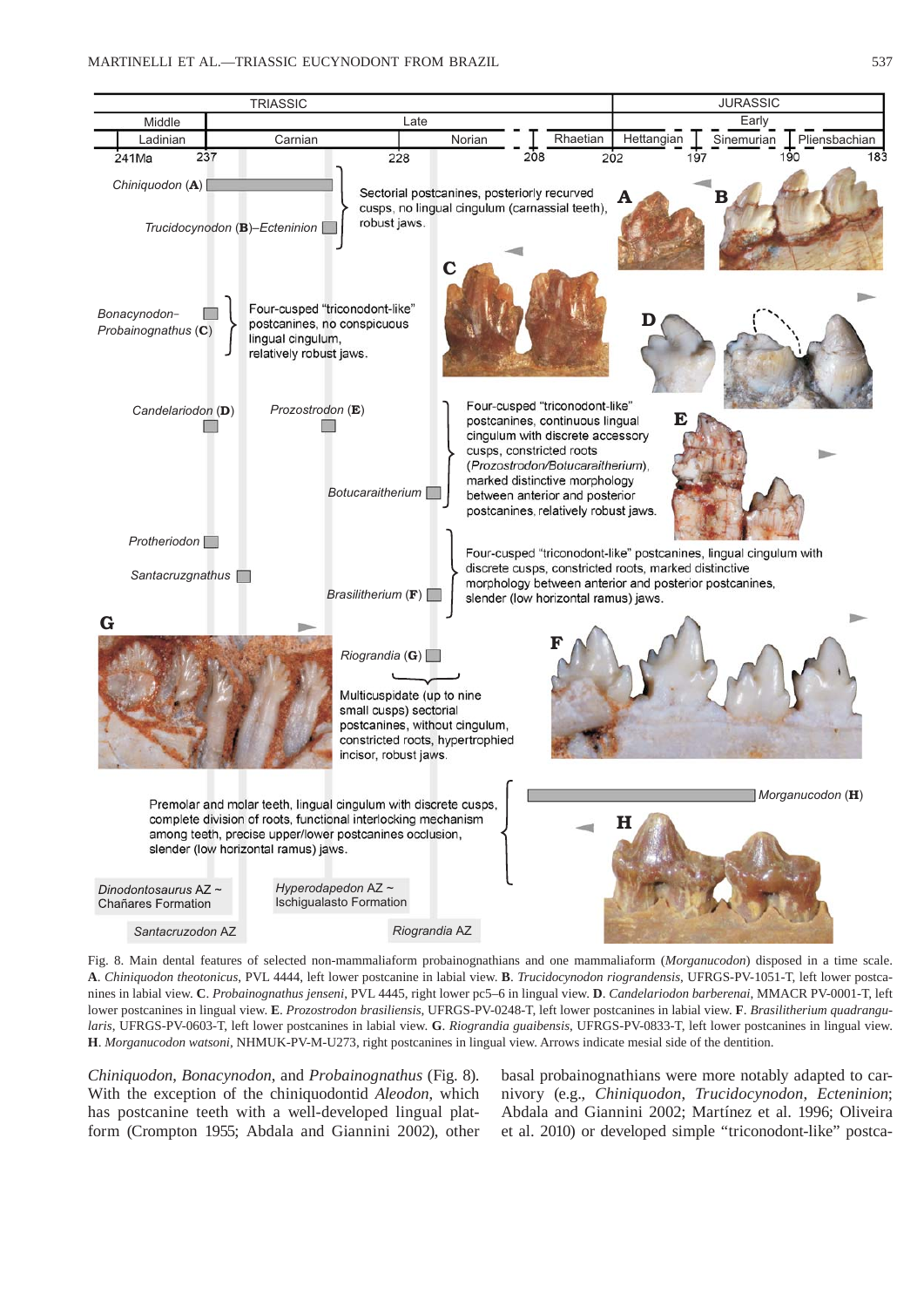

Fig. 8. Main dental features of selected non-mammaliaform probainognathians and one mammaliaform (*Morganucodon*) disposed in a time scale. **A**. *Chiniquodon theotonicus*, PVL 4444, left lower postcanine in labial view. **B**. *Trucidocynodon riograndensis*, UFRGS-PV-1051-T, left lower postcanines in labial view. **C**. *Probainognathus jenseni*, PVL 4445, right lower pc5–6 in lingual view. **D**. *Candelariodon barberenai*, MMACR PV-0001-T, left lower postcanines in lingual view. **E**. *Prozostrodon brasiliensis*, UFRGS-PV-0248-T, left lower postcanines in labial view. **F**. *Brasilitherium quadrangularis*, UFRGS-PV-0603-T, left lower postcanines in labial view. **G**. *Riograndia guaibensis*, UFRGS-PV-0833-T, left lower postcanines in lingual view. **H**. *Morganucodon watsoni*, NHMUK-PV-M-U273, right postcanines in lingual view. Arrows indicate mesial side of the dentition.

*Chiniquodon*, *Bonacynodon*, and *Probainognathus* (Fig. 8). With the exception of the chiniquodontid *Aleodon*, which has postcanine teeth with a well-developed lingual platform (Crompton 1955; Abdala and Giannini 2002), other basal probainognathians were more notably adapted to carnivory (e.g., *Chiniquodon*, *Trucidocynodon*, *Ecteninion*; Abdala and Giannini 2002; Martínez et al. 1996; Oliveira et al. 2010) or developed simple "triconodont-like" postca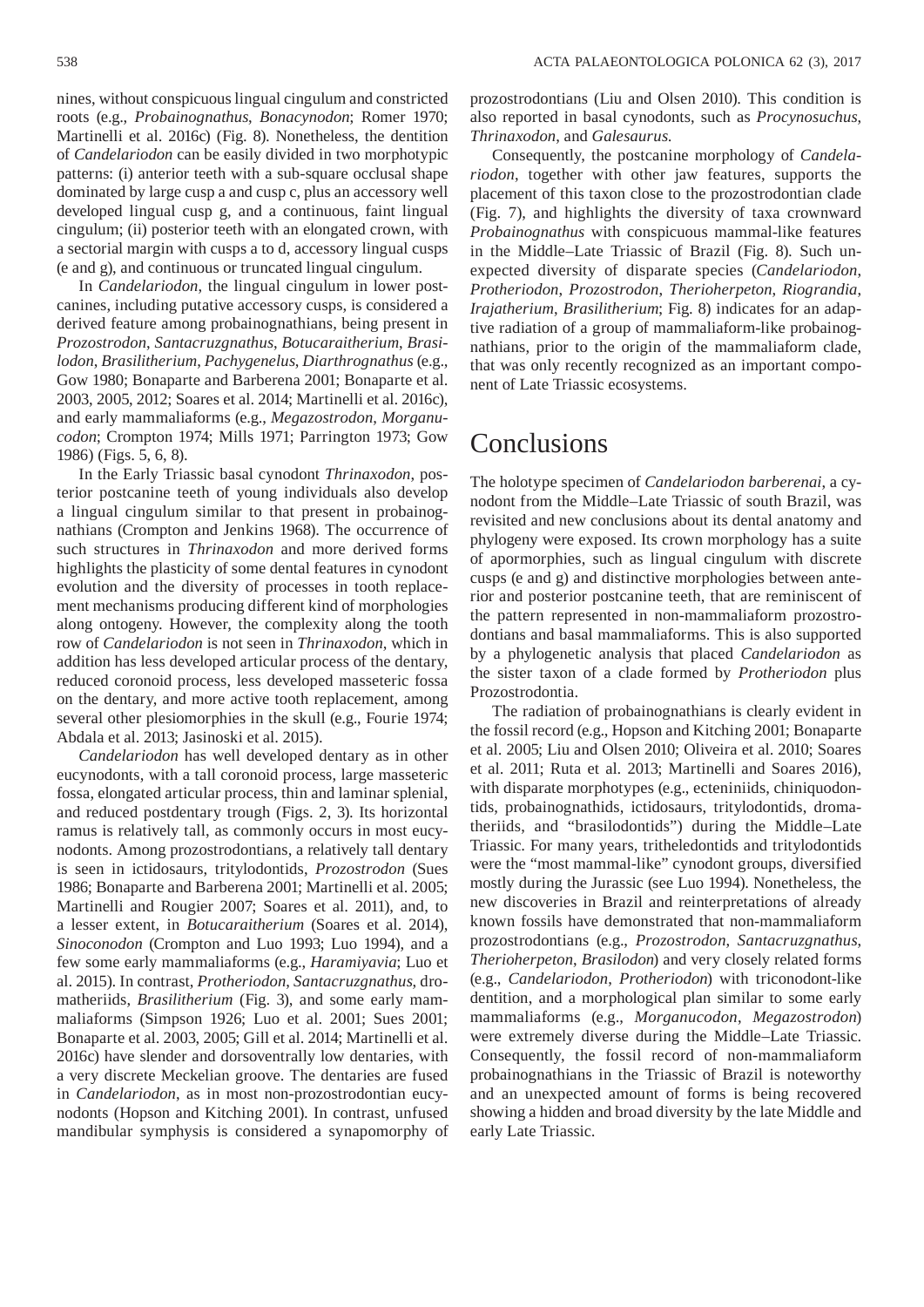nines, without conspicuous lingual cingulum and constricted roots (e.g., *Probainognathus*, *Bonacynodon*; Romer 1970; Martinelli et al. 2016c) (Fig. 8). Nonetheless, the dentition of *Candelariodon* can be easily divided in two morphotypic patterns: (i) anterior teeth with a sub-square occlusal shape dominated by large cusp a and cusp c, plus an accessory well developed lingual cusp g, and a continuous, faint lingual cingulum; (ii) posterior teeth with an elongated crown, with a sectorial margin with cusps a to d, accessory lingual cusps (e and g), and continuous or truncated lingual cingulum.

In *Candelariodon*, the lingual cingulum in lower postcanines, including putative accessory cusps, is considered a derived feature among probainognathians, being present in *Prozostrodon*, *Santacruzgnathus*, *Botucaraitherium*, *Bra silodon*, *Brasilitherium*, *Pachygenelus*, *Diarthrognathus* (e.g., Gow 1980; Bonaparte and Barberena 2001; Bonaparte et al. 2003, 2005, 2012; Soares et al. 2014; Martinelli et al. 2016c), and early mammaliaforms (e.g., *Megazostrodon*, *Morganucodon*; Crompton 1974; Mills 1971; Parrington 1973; Gow 1986) (Figs. 5, 6, 8).

In the Early Triassic basal cynodont *Thrinaxodon*, posterior postcanine teeth of young individuals also develop a lingual cingulum similar to that present in probainognathians (Crompton and Jenkins 1968). The occurrence of such structures in *Thrinaxodon* and more derived forms highlights the plasticity of some dental features in cynodont evolution and the diversity of processes in tooth replacement mechanisms producing different kind of morphologies along ontogeny. However, the complexity along the tooth row of *Candelariodon* is not seen in *Thrinaxodon*, which in addition has less developed articular process of the dentary, reduced coronoid process, less developed masseteric fossa on the dentary, and more active tooth replacement, among several other plesiomorphies in the skull (e.g., Fourie 1974; Abdala et al. 2013; Jasinoski et al. 2015).

*Candelariodon* has well developed dentary as in other eucynodonts, with a tall coronoid process, large masseteric fossa, elongated articular process, thin and laminar splenial, and reduced postdentary trough (Figs. 2, 3). Its horizontal ramus is relatively tall, as commonly occurs in most eucynodonts. Among prozostrodontians, a relatively tall dentary is seen in ictidosaurs, tritylodontids, *Prozostrodon* (Sues 1986; Bonaparte and Barberena 2001; Martinelli et al. 2005; Martinelli and Rougier 2007; Soares et al. 2011), and, to a lesser extent, in *Botucaraitherium* (Soares et al. 2014), *Sinoconodon* (Crompton and Luo 1993; Luo 1994), and a few some early mammaliaforms (e.g., *Haramiyavia*; Luo et al. 2015). In contrast, *Protheriodon*, *Santacruzgnathus*, dromatheriids, *Brasilitherium* (Fig. 3), and some early mammaliaforms (Simpson 1926; Luo et al. 2001; Sues 2001; Bonaparte et al. 2003, 2005; Gill et al. 2014; Martinelli et al. 2016c) have slender and dorsoventrally low dentaries, with a very discrete Meckelian groove. The dentaries are fused in *Candelariodon*, as in most non-prozostrodontian eucynodonts (Hopson and Kitching 2001). In contrast, unfused mandibular symphysis is considered a synapomorphy of

prozostrodontians (Liu and Olsen 2010). This condition is also reported in basal cynodonts, such as *Procynosuchus*, *Thrinaxodon*, and *Galesaurus*.

Consequently, the postcanine morphology of *Candelario don*, together with other jaw features, supports the placement of this taxon close to the prozostrodontian clade (Fig. 7), and highlights the diversity of taxa crownward *Probainognathus* with conspicuous mammal-like features in the Middle–Late Triassic of Brazil (Fig. 8). Such unexpected diversity of disparate species (*Candelariodon*, *Protheriodon*, *Prozostrodon*, *Therioherpeton*, *Riograndia*, *Irajatherium*, *Brasilitherium*; Fig. 8) indicates for an adaptive radiation of a group of mammaliaform-like probainognathians, prior to the origin of the mammaliaform clade, that was only recently recognized as an important component of Late Triassic ecosystems.

#### Conclusions

The holotype specimen of *Candelariodon barberenai*, a cynodont from the Middle–Late Triassic of south Brazil, was revisited and new conclusions about its dental anatomy and phylogeny were exposed. Its crown morphology has a suite of apormorphies, such as lingual cingulum with discrete cusps (e and g) and distinctive morphologies between anterior and posterior postcanine teeth, that are reminiscent of the pattern represented in non-mammaliaform prozostrodontians and basal mammaliaforms. This is also supported by a phylogenetic analysis that placed *Candelariodon* as the sister taxon of a clade formed by *Protheriodon* plus Prozostrodontia.

The radiation of probainognathians is clearly evident in the fossil record (e.g., Hopson and Kitching 2001; Bonaparte et al. 2005; Liu and Olsen 2010; Oliveira et al. 2010; Soares et al. 2011; Ruta et al. 2013; Martinelli and Soares 2016), with disparate morphotypes (e.g., ecteniniids, chiniquodontids, probainognathids, ictidosaurs, tritylodontids, dromatheriids, and "brasilodontids") during the Middle–Late Triassic. For many years, tritheledontids and tritylodontids were the "most mammal-like" cynodont groups, diversified mostly during the Jurassic (see Luo 1994). Nonetheless, the new discoveries in Brazil and reinterpretations of already known fossils have demonstrated that non-mammaliaform prozostrodontians (e.g., *Prozostrodon*, *Santacruzgnathus*, *Therioherpeton*, *Brasilodon*) and very closely related forms (e.g., *Candelariodon*, *Protheriodon*) with triconodont-like dentition, and a morphological plan similar to some early mammaliaforms (e.g., *Morganucodon*, *Megazostrodon*) were extremely diverse during the Middle–Late Triassic. Consequently, the fossil record of non-mammaliaform probainognathians in the Triassic of Brazil is noteworthy and an unexpected amount of forms is being recovered showing a hidden and broad diversity by the late Middle and early Late Triassic.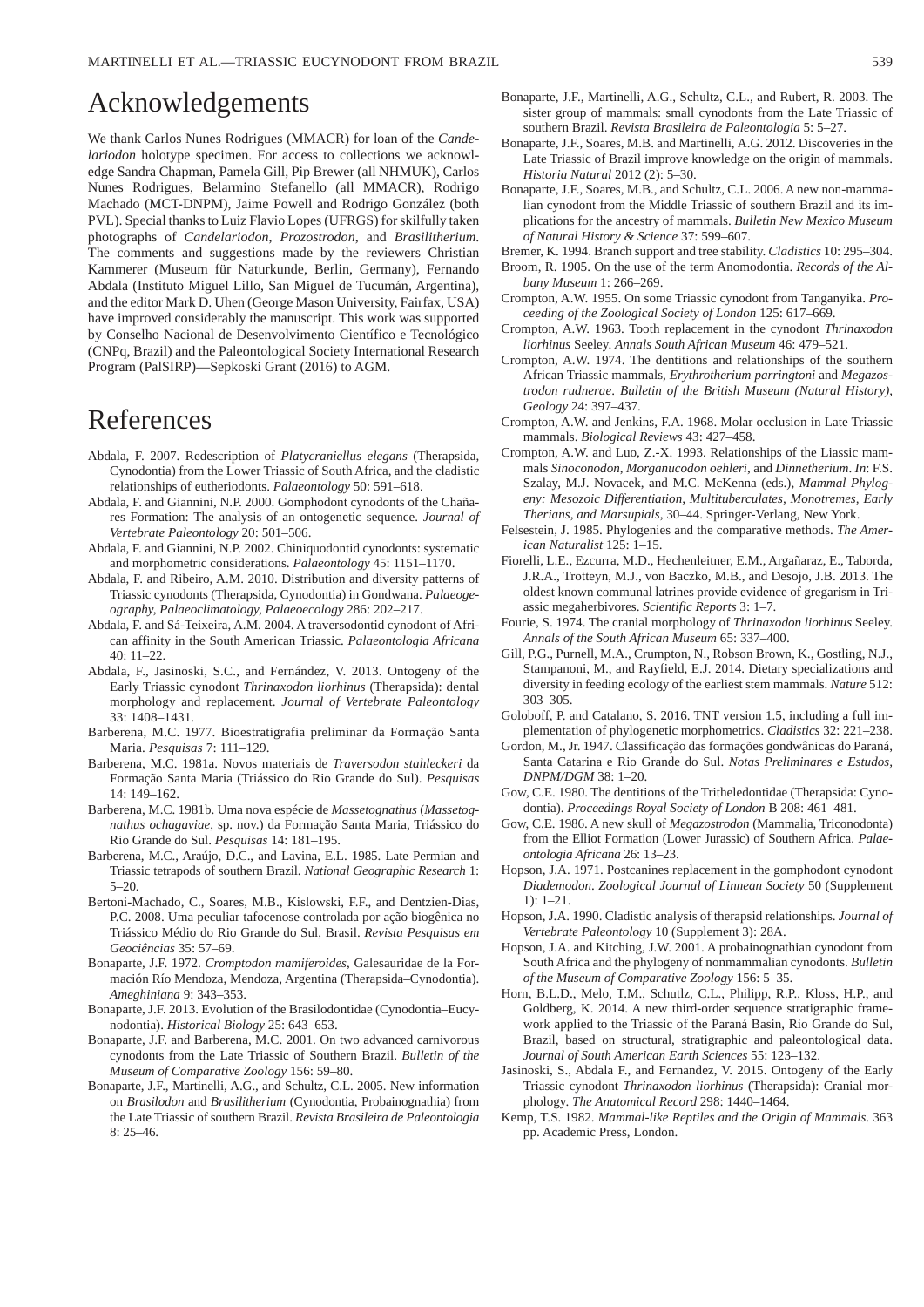## Acknowledgements

We thank Carlos Nunes Rodrigues (MMACR) for loan of the *Candelariodon* holotype specimen. For access to collections we acknowledge Sandra Chapman, Pamela Gill, Pip Brewer (all NHMUK), Carlos Nunes Rodrigues, Belarmino Stefanello (all MMACR), Rodrigo Machado (MCT-DNPM), Jaime Powell and Rodrigo González (both PVL). Special thanks to Luiz Flavio Lopes (UFRGS) for skilfully taken photographs of *Candelariodon*, *Prozostrodon*, and *Brasilitherium*. The comments and suggestions made by the reviewers Christian Kammerer (Museum für Naturkunde, Berlin, Germany), Fernando Abdala (Instituto Miguel Lillo, San Miguel de Tucumán, Argentina), and the editor Mark D. Uhen (George Mason University, Fairfax, USA) have improved considerably the manuscript. This work was supported by Conselho Nacional de Desenvolvimento Científico e Tecnológico (CNPq, Brazil) and the Paleontological Society International Research Program (PalSIRP)—Sepkoski Grant (2016) to AGM.

#### References

- Abdala, F. 2007. Redescription of *Platycraniellus elegans* (Therapsida, Cynodontia) from the Lower Triassic of South Africa, and the cladistic relationships of eutheriodonts. *Palaeontology* 50: 591–618.
- Abdala, F. and Giannini, N.P. 2000. Gomphodont cynodonts of the Chañares Formation: The analysis of an ontogenetic sequence. *Journal of Vertebrate Paleontology* 20: 501–506.
- Abdala, F. and Giannini, N.P. 2002. Chiniquodontid cynodonts: systematic and morphometric considerations. *Palaeontology* 45: 1151–1170.
- Abdala, F. and Ribeiro, A.M. 2010. Distribution and diversity patterns of Triassic cynodonts (Therapsida, Cynodontia) in Gondwana. *Palaeogeography, Palaeoclimatology, Palaeoecology* 286: 202–217.
- Abdala, F. and Sá-Teixeira, A.M. 2004. A traversodontid cynodont of African affinity in the South American Triassic. *Palaeontologia Africana* 40: 11–22.
- Abdala, F., Jasinoski, S.C., and Fernández, V. 2013. Ontogeny of the Early Triassic cynodont *Thrinaxodon liorhinus* (Therapsida): dental morphology and replacement. *Journal of Vertebrate Paleontology* 33: 1408–1431.
- Barberena, M.C. 1977. Bioestratigrafia preliminar da Formação Santa Maria. *Pesquisas* 7: 111–129.
- Barberena, M.C. 1981a. Novos materiais de *Traversodon stahleckeri* da Formação Santa Maria (Triássico do Rio Grande do Sul). *Pesquisas*  $14 \cdot 149 - 162$
- Barberena, M.C. 1981b. Uma nova espécie de *Massetognathus* (*Massetognathus ochagaviae*, sp. nov.) da Formação Santa Maria, Triássico do Rio Grande do Sul. *Pesquisas* 14: 181–195.
- Barberena, M.C., Araújo, D.C., and Lavina, E.L. 1985. Late Permian and Triassic tetrapods of southern Brazil. *National Geographic Research* 1:  $5-20.$
- Bertoni-Machado, C., Soares, M.B., Kislowski, F.F., and Dentzien-Dias, P.C. 2008. Uma peculiar tafocenose controlada por ação biogênica no Triássico Médio do Rio Grande do Sul, Brasil. *Revista Pesquisas em Geociências* 35: 57–69.
- Bonaparte, J.F. 1972. *Cromptodon mamiferoides*, Galesauridae de la Formación Río Mendoza, Mendoza, Argentina (Therapsida–Cynodontia). *Ameghiniana* 9: 343–353.
- Bonaparte, J.F. 2013. Evolution of the Brasilodontidae (Cynodontia–Eucynodontia). *Historical Biology* 25: 643–653.
- Bonaparte, J.F. and Barberena, M.C. 2001. On two advanced carnivorous cynodonts from the Late Triassic of Southern Brazil. *Bulletin of the Museum of Comparative Zoology* 156: 59–80.
- Bonaparte, J.F., Martinelli, A.G., and Schultz, C.L. 2005. New information on *Brasilodon* and *Brasilitherium* (Cynodontia, Probainognathia) from the Late Triassic of southern Brazil. *Revista Brasileira de Paleontologia* 8: 25–46.
- Bonaparte, J.F., Martinelli, A.G., Schultz, C.L., and Rubert, R. 2003. The sister group of mammals: small cynodonts from the Late Triassic of southern Brazil. *Revista Brasileira de Paleontologia* 5: 5–27.
- Bonaparte, J.F., Soares, M.B. and Martinelli, A.G. 2012. Discoveries in the Late Triassic of Brazil improve knowledge on the origin of mammals. *Historia Natural* 2012 (2): 5–30.
- Bonaparte, J.F., Soares, M.B., and Schultz, C.L. 2006. A new non-mammalian cynodont from the Middle Triassic of southern Brazil and its implications for the ancestry of mammals. *Bulletin New Mexico Museum of Natural History & Science* 37: 599–607.
- Bremer, K. 1994. Branch support and tree stability. *Cladistics* 10: 295–304.
- Broom, R. 1905. On the use of the term Anomodontia. *Records of the Albany Museum* 1: 266–269.
- Crompton, A.W. 1955. On some Triassic cynodont from Tanganyika. *Proceeding of the Zoological Society of London* 125: 617–669.
- Crompton, A.W. 1963. Tooth replacement in the cynodont *Thrinaxodon liorhinus* Seeley. *Annals South African Museum* 46: 479–521.
- Crompton, A.W. 1974. The dentitions and relationships of the southern African Triassic mammals, *Erythrotherium parringtoni* and *Megazostrodon rudnerae*. *Bulletin of the British Museum (Natural History), Geology* 24: 397–437.
- Crompton, A.W. and Jenkins, F.A. 1968. Molar occlusion in Late Triassic mammals. *Biological Reviews* 43: 427–458.
- Crompton, A.W. and Luo, Z.-X. 1993. Relationships of the Liassic mammals *Sinoconodon*, *Morganucodon oehleri*, and *Dinnetherium*. *In*: F.S. Szalay, M.J. Novacek, and M.C. McKenna (eds.), *Mammal Phylogeny: Mesozoic Differentiation, Multituberculates, Monotremes, Early Therians, and Marsupials*, 30–44. Springer-Verlang, New York.
- Felsestein, J. 1985. Phylogenies and the comparative methods. *The American Naturalist* 125: 1–15.
- Fiorelli, L.E., Ezcurra, M.D., Hechenleitner, E.M., Argañaraz, E., Taborda, J.R.A., Trotteyn, M.J., von Baczko, M.B., and Desojo, J.B. 2013. The oldest known communal latrines provide evidence of gregarism in Triassic megaherbivores. *Scientific Reports* 3: 1–7.
- Fourie, S. 1974. The cranial morphology of *Thrinaxodon liorhinus* Seeley. *Annals of the South African Museum* 65: 337–400.
- Gill, P.G., Purnell, M.A., Crumpton, N., Robson Brown, K., Gostling, N.J., Stampanoni, M., and Rayfield, E.J. 2014. Dietary specializations and diversity in feeding ecology of the earliest stem mammals. *Nature* 512: 303–305.
- Goloboff, P. and Catalano, S. 2016. TNT version 1.5, including a full implementation of phylogenetic morphometrics. *Cladistics* 32: 221–238.
- Gordon, M., Jr. 1947. Classificação das formações gondwânicas do Paraná, Santa Catarina e Rio Grande do Sul. *Notas Preliminares e Estudos, DNPM/DGM* 38: 1–20.
- Gow, C.E. 1980. The dentitions of the Tritheledontidae (Therapsida: Cynodontia). *Proceedings Royal Society of London* B 208: 461–481.
- Gow, C.E. 1986. A new skull of *Megazostrodon* (Mammalia, Triconodonta) from the Elliot Formation (Lower Jurassic) of Southern Africa. *Palaeontologia Africana* 26: 13–23.
- Hopson, J.A. 1971. Postcanines replacement in the gomphodont cynodont *Diademodon*. *Zoological Journal of Linnean Society* 50 (Supplement 1): 1–21.
- Hopson, J.A. 1990. Cladistic analysis of therapsid relationships. *Journal of Vertebrate Paleontology* 10 (Supplement 3): 28A.
- Hopson, J.A. and Kitching, J.W. 2001. A probainognathian cynodont from South Africa and the phylogeny of nonmammalian cynodonts. *Bulletin of the Museum of Comparative Zoology* 156: 5–35.
- Horn, B.L.D., Melo, T.M., Schutlz, C.L., Philipp, R.P., Kloss, H.P., and Goldberg, K. 2014. A new third-order sequence stratigraphic framework applied to the Triassic of the Paraná Basin, Rio Grande do Sul, Brazil, based on structural, stratigraphic and paleontological data. *Journal of South American Earth Sciences* 55: 123–132.
- Jasinoski, S., Abdala F., and Fernandez, V. 2015. Ontogeny of the Early Triassic cynodont *Thrinaxodon liorhinus* (Therapsida): Cranial morphology. *The Anatomical Record* 298: 1440–1464.
- Kemp, T.S. 1982. *Mammal-like Reptiles and the Origin of Mammals*. 363 pp. Academic Press, London.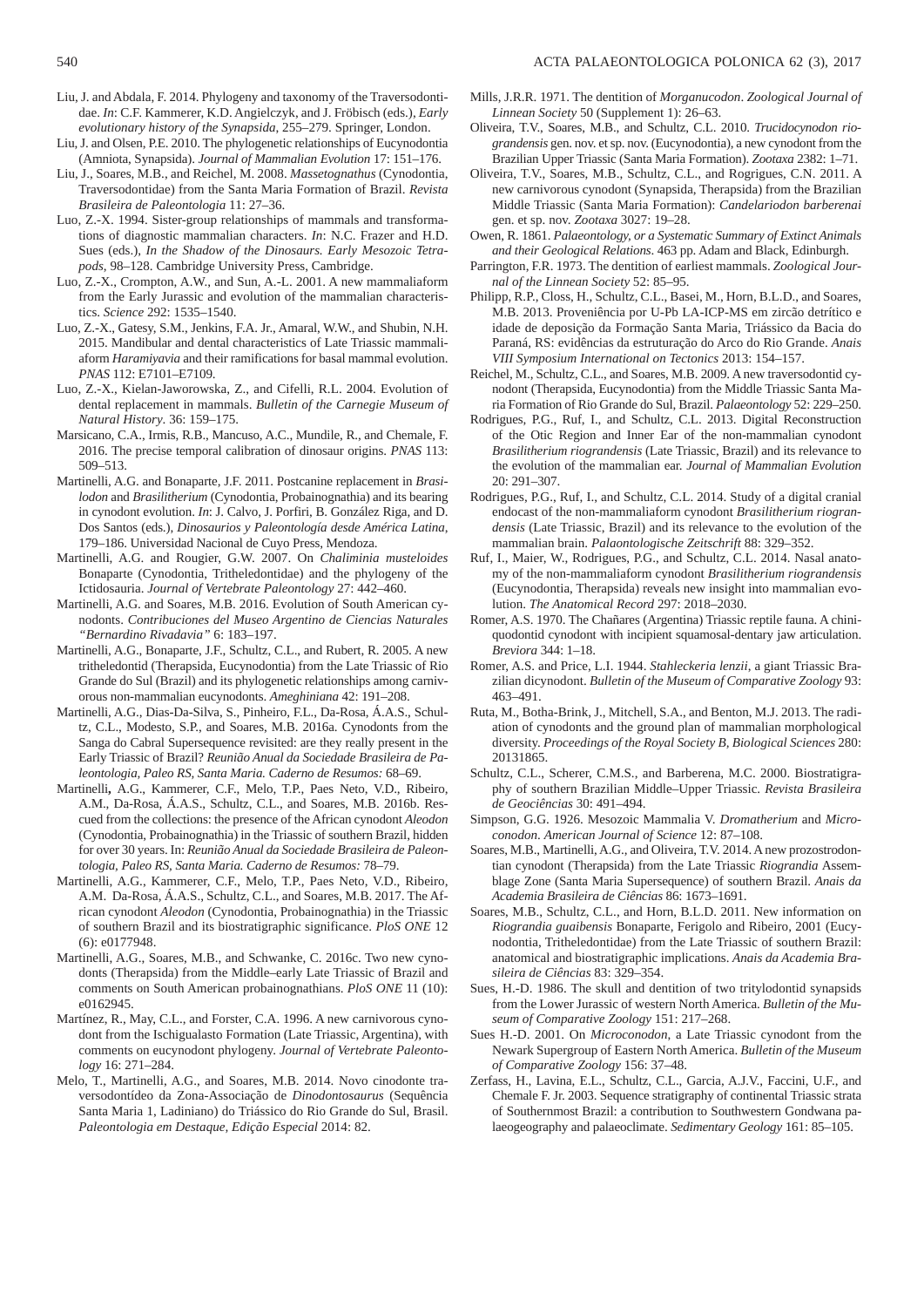- Liu, J. and Abdala, F. 2014. Phylogeny and taxonomy of the Traversodontidae. *In*: C.F. Kammerer, K.D. Angielczyk, and J. Fröbisch (eds.), *Early evolutionary history of the Synapsida*, 255–279. Springer, London.
- Liu, J. and Olsen, P.E. 2010. The phylogenetic relationships of Eucynodontia (Amniota, Synapsida). *Journal of Mammalian Evolution* 17: 151–176.
- Liu, J., Soares, M.B., and Reichel, M. 2008. *Massetognathus* (Cynodontia, Traversodontidae) from the Santa Maria Formation of Brazil. *Revista Brasileira de Paleontologia* 11: 27–36.
- Luo, Z.-X. 1994. Sister-group relationships of mammals and transformations of diagnostic mammalian characters. *In*: N.C. Frazer and H.D. Sues (eds.), *In the Shadow of the Dinosaurs. Early Mesozoic Tetrapods*, 98–128. Cambridge University Press, Cambridge.
- Luo, Z.-X., Crompton, A.W., and Sun, A.-L. 2001. A new mammaliaform from the Early Jurassic and evolution of the mammalian characteristics. *Science* 292: 1535–1540.
- Luo, Z.-X., Gatesy, S.M., Jenkins, F.A. Jr., Amaral, W.W., and Shubin, N.H. 2015. Mandibular and dental characteristics of Late Triassic mammaliaform *Haramiyavia* and their ramifications for basal mammal evolution. *PNAS* 112: E7101–E7109.
- Luo, Z.-X., Kielan-Jaworowska, Z., and Cifelli, R.L. 2004. Evolution of dental replacement in mammals. *Bulletin of the Carnegie Museum of Natural History*. 36: 159–175.
- Marsicano, C.A., Irmis, R.B., Mancuso, A.C., Mundile, R., and Chemale, F. 2016. The precise temporal calibration of dinosaur origins. *PNAS* 113: 509–513.
- Martinelli, A.G. and Bonaparte, J.F. 2011. Postcanine replacement in *Brasilodon* and *Brasilitherium* (Cynodontia, Probainognathia) and its bearing in cynodont evolution. *In*: J. Calvo, J. Porfiri, B. González Riga, and D. Dos Santos (eds.), *Dinosaurios y Paleontología desde América Latina*, 179–186. Universidad Nacional de Cuyo Press, Mendoza.
- Martinelli, A.G. and Rougier, G.W. 2007. On *Chaliminia musteloides* Bonaparte (Cynodontia, Tritheledontidae) and the phylogeny of the Ictidosauria. *Journal of Vertebrate Paleontology* 27: 442–460.
- Martinelli, A.G. and Soares, M.B. 2016. Evolution of South American cynodonts. *Contribuciones del Museo Argentino de Ciencias Naturales "Bernardino Rivadavia"* 6: 183–197.
- Martinelli, A.G., Bonaparte, J.F., Schultz, C.L., and Rubert, R. 2005. A new tritheledontid (Therapsida, Eucynodontia) from the Late Triassic of Rio Grande do Sul (Brazil) and its phylogenetic relationships among carnivorous non-mammalian eucynodonts. *Ameghiniana* 42: 191–208.
- Martinelli, A.G., Dias-Da-Silva, S., Pinheiro, F.L., Da-Rosa, Á.A.S., Schultz, C.L., Modesto, S.P., and Soares, M.B. 2016a. Cynodonts from the Sanga do Cabral Supersequence revisited: are they really present in the Early Triassic of Brazil? *Reunião Anual da Sociedade Brasileira de Paleontologia, Paleo RS, Santa Maria. Caderno de Resumos:* 68–69.
- Martinelli**,** A.G., Kammerer, C.F., Melo, T.P., Paes Neto, V.D., Ribeiro, A.M., Da-Rosa, Á.A.S., Schultz, C.L., and Soares, M.B. 2016b. Rescued from the collections: the presence of the African cynodont *Aleodon* (Cynodontia, Probainognathia) in the Triassic of southern Brazil, hidden for over 30 years. In: *Reunião Anual da Sociedade Brasileira de Paleontologia, Paleo RS, Santa Maria. Caderno de Resumos:* 78–79.
- Martinelli, A.G., Kammerer, C.F., Melo, T.P., Paes Neto, V.D., Ribeiro, A.M. Da-Rosa, Á.A.S., Schultz, C.L., and Soares, M.B. 2017. The African cynodont *Aleodon* (Cynodontia, Probainognathia) in the Triassic of southern Brazil and its biostratigraphic significance. *PloS ONE* 12 (6): e0177948.
- Martinelli, A.G., Soares, M.B., and Schwanke, C. 2016c. Two new cynodonts (Therapsida) from the Middle–early Late Triassic of Brazil and comments on South American probainognathians. *PloS ONE* 11 (10): e0162945.
- Martínez, R., May, C.L., and Forster, C.A. 1996. A new carnivorous cynodont from the Ischigualasto Formation (Late Triassic, Argentina), with comments on eucynodont phylogeny. *Journal of Vertebrate Paleontology* 16: 271–284.
- Melo, T., Martinelli, A.G., and Soares, M.B. 2014. Novo cinodonte traversodontídeo da Zona-Associação de *Dinodontosaurus* (Sequência Santa Maria 1, Ladiniano) do Triássico do Rio Grande do Sul, Brasil. *Paleontologia em Destaque, Edição Especial* 2014: 82.
- Mills, J.R.R. 1971. The dentition of *Morganucodon*. *Zoological Journal of Linnean Society* 50 (Supplement 1): 26–63.
- Oliveira, T.V., Soares, M.B., and Schultz, C.L. 2010. *Trucidocynodon riograndensis* gen. nov. et sp. nov. (Eucynodontia), a new cynodont from the Brazilian Upper Triassic (Santa Maria Formation). *Zootaxa* 2382: 1–71.
- Oliveira, T.V., Soares, M.B., Schultz, C.L., and Rogrigues, C.N. 2011. A new carnivorous cynodont (Synapsida, Therapsida) from the Brazilian Middle Triassic (Santa Maria Formation): *Candelariodon barberenai*  gen. et sp. nov. *Zootaxa* 3027: 19–28.
- Owen, R. 1861. *Palaeontology, or a Systematic Summary of Extinct Animals and their Geological Relations*. 463 pp. Adam and Black, Edinburgh.
- Parrington, F.R. 1973. The dentition of earliest mammals. *Zoological Journal of the Linnean Society* 52: 85–95.
- Philipp, R.P., Closs, H., Schultz, C.L., Basei, M., Horn, B.L.D., and Soares, M.B. 2013. Proveniência por U-Pb LA-ICP-MS em zircão detrítico e idade de deposição da Formação Santa Maria, Triássico da Bacia do Paraná, RS: evidências da estruturação do Arco do Rio Grande. *Anais VIII Symposium International on Tectonics* 2013: 154–157.
- Reichel, M., Schultz, C.L., and Soares, M.B. 2009. A new traversodontid cynodont (Therapsida, Eucynodontia) from the Middle Triassic Santa Maria Formation of Rio Grande do Sul, Brazil. *Palaeontology* 52: 229–250.
- Rodrigues, P.G., Ruf, I., and Schultz, C.L. 2013. Digital Reconstruction of the Otic Region and Inner Ear of the non-mammalian cynodont *Brasilitherium riograndensis* (Late Triassic, Brazil) and its relevance to the evolution of the mammalian ear. *Journal of Mammalian Evolution* 20: 291–307.
- Rodrigues, P.G., Ruf, I., and Schultz, C.L. 2014. Study of a digital cranial endocast of the non-mammaliaform cynodont *Brasilitherium riograndensis* (Late Triassic, Brazil) and its relevance to the evolution of the mammalian brain. *Palaontologische Zeitschrift* 88: 329–352.
- Ruf, I., Maier, W., Rodrigues, P.G., and Schultz, C.L. 2014. Nasal anatomy of the non-mammaliaform cynodont *Brasilitherium riograndensis*  (Eucynodontia, Therapsida) reveals new insight into mammalian evolution. *The Anatomical Record* 297: 2018–2030.
- Romer, A.S. 1970. The Chañares (Argentina) Triassic reptile fauna. A chiniquodontid cynodont with incipient squamosal-dentary jaw articulation. *Breviora* 344: 1–18.
- Romer, A.S. and Price, L.I. 1944. *Stahleckeria lenzii*, a giant Triassic Brazilian dicynodont. *Bulletin of the Museum of Comparative Zoology* 93: 463–491.
- Ruta, M., Botha-Brink, J., Mitchell, S.A., and Benton, M.J. 2013. The radiation of cynodonts and the ground plan of mammalian morphological diversity. *Proceedings of the Royal Society B, Biological Sciences* 280: 20131865.
- Schultz, C.L., Scherer, C.M.S., and Barberena, M.C. 2000. Biostratigraphy of southern Brazilian Middle–Upper Triassic. *Revista Brasileira de Geociências* 30: 491–494.
- Simpson, G.G. 1926. Mesozoic Mammalia V. *Dromatherium* and *Microconodon*. *American Journal of Science* 12: 87–108.
- Soares, M.B., Martinelli, A.G., and Oliveira, T.V. 2014. A new prozostrodontian cynodont (Therapsida) from the Late Triassic *Riograndia* Assemblage Zone (Santa Maria Supersequence) of southern Brazil. *Anais da Academia Brasileira de Ciências* 86: 1673–1691.
- Soares, M.B., Schultz, C.L., and Horn, B.L.D. 2011. New information on *Riograndia guaibensis* Bonaparte, Ferigolo and Ribeiro, 2001 (Eucynodontia, Tritheledontidae) from the Late Triassic of southern Brazil: anatomical and biostratigraphic implications. *Anais da Academia Brasileira de Ciências* 83: 329–354.
- Sues, H.-D. 1986. The skull and dentition of two tritylodontid synapsids from the Lower Jurassic of western North America. *Bulletin of the Museum of Comparative Zoology* 151: 217–268.
- Sues H.-D. 2001. On *Microconodon*, a Late Triassic cynodont from the Newark Supergroup of Eastern North America. *Bulletin of the Museum of Comparative Zoology* 156: 37–48.
- Zerfass, H., Lavina, E.L., Schultz, C.L., Garcia, A.J.V., Faccini, U.F., and Chemale F. Jr. 2003. Sequence stratigraphy of continental Triassic strata of Southernmost Brazil: a contribution to Southwestern Gondwana palaeogeography and palaeoclimate. *Sedimentary Geology* 161: 85–105.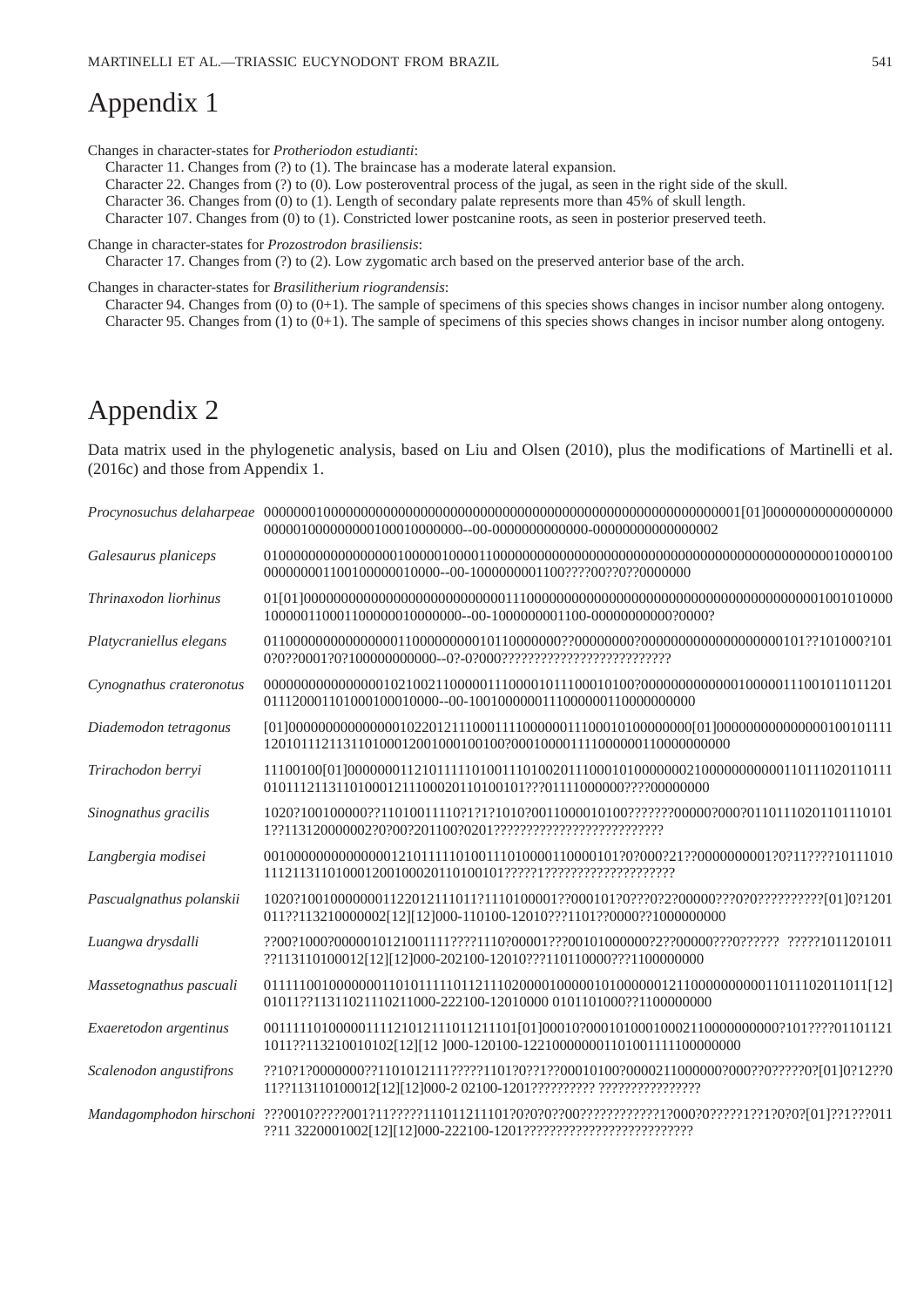# Appendix 1

Changes in character-states for *Protheriodon estudianti*:

Character 11. Changes from (?) to (1). The braincase has a moderate lateral expansion.

Character 22. Changes from (?) to (0). Low posteroventral process of the jugal, as seen in the right side of the skull.

Character 36. Changes from (0) to (1). Length of secondary palate represents more than 45% of skull length.

Character 107. Changes from (0) to (1). Constricted lower postcanine roots, as seen in posterior preserved teeth.

Change in character-states for *Prozostrodon brasiliensis*:

Character 17. Changes from (?) to (2). Low zygomatic arch based on the preserved anterior base of the arch.

Changes in character-states for *Brasilitherium riograndensis*:

Character 94. Changes from (0) to (0+1). The sample of specimens of this species shows changes in incisor number along ontogeny. Character 95. Changes from (1) to (0+1). The sample of specimens of this species shows changes in incisor number along ontogeny.

# Appendix 2

Data matrix used in the phylogenetic analysis, based on Liu and Olsen (2010), plus the modifications of Martinelli et al. (2016c) and those from Appendix 1.

| Galesaurus planiceps     | 000000001100100000010000--00-1000000001100????00??0??0000000                            |
|--------------------------|-----------------------------------------------------------------------------------------|
| Thrinaxodon liorhinus    |                                                                                         |
| Platycraniellus elegans  |                                                                                         |
| Cynognathus crateronotus |                                                                                         |
| Diademodon tetragonus    |                                                                                         |
| Trirachodon berryi       |                                                                                         |
| Sinognathus gracilis     |                                                                                         |
| Langbergia modisei       |                                                                                         |
| Pascualgnathus polanskii | 011??113210000002[12][12]000-110100-12010???1101??0000??1000000000                      |
| Luangwa drysdalli        | ??113110100012[12][12]000-202100-12010???110110000???1100000000                         |
| Massetognathus pascuali  | 01011??11311021110211000-222100-12010000 0101101000??1100000000                         |
| Exaeretodon argentinus   | 00111110100000111121012111011211101[01]00010?000101000100021100000000002101????01101121 |
| Scalenodon angustifrons  |                                                                                         |
| Mandagomphodon hirschoni |                                                                                         |